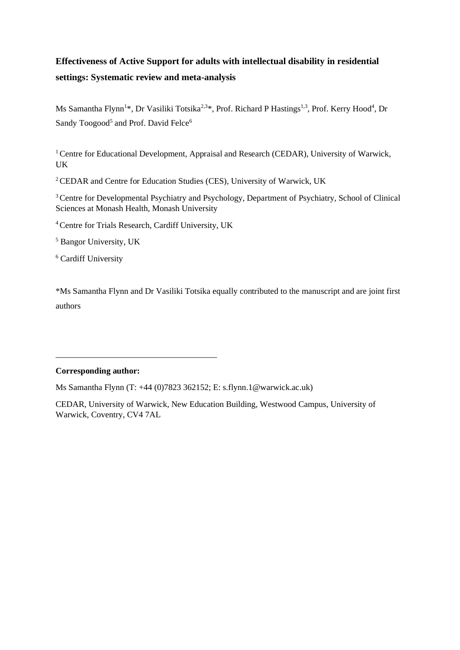# **Effectiveness of Active Support for adults with intellectual disability in residential settings: Systematic review and meta-analysis**

Ms Samantha Flynn<sup>1\*</sup>, Dr Vasiliki Totsika<sup>2,3\*</sup>, Prof. Richard P Hastings<sup>1,3</sup>, Prof. Kerry Hood<sup>4</sup>, Dr Sandy Toogood<sup>5</sup> and Prof. David Felce<sup>6</sup>

<sup>1</sup> Centre for Educational Development, Appraisal and Research (CEDAR), University of Warwick, UK

<sup>2</sup> CEDAR and Centre for Education Studies (CES), University of Warwick, UK

<sup>3</sup> Centre for Developmental Psychiatry and Psychology, Department of Psychiatry, School of Clinical Sciences at Monash Health, Monash University

<sup>4</sup>Centre for Trials Research, Cardiff University, UK

\_\_\_\_\_\_\_\_\_\_\_\_\_\_\_\_\_\_\_\_\_\_\_\_\_\_\_\_\_\_\_\_\_\_\_\_\_\_

<sup>5</sup> Bangor University, UK

<sup>6</sup> Cardiff University

\*Ms Samantha Flynn and Dr Vasiliki Totsika equally contributed to the manuscript and are joint first authors

#### **Corresponding author:**

Ms Samantha Flynn (T: +44 (0)7823 362152; E: s.flynn.1@warwick.ac.uk)

CEDAR, University of Warwick, New Education Building, Westwood Campus, University of Warwick, Coventry, CV4 7AL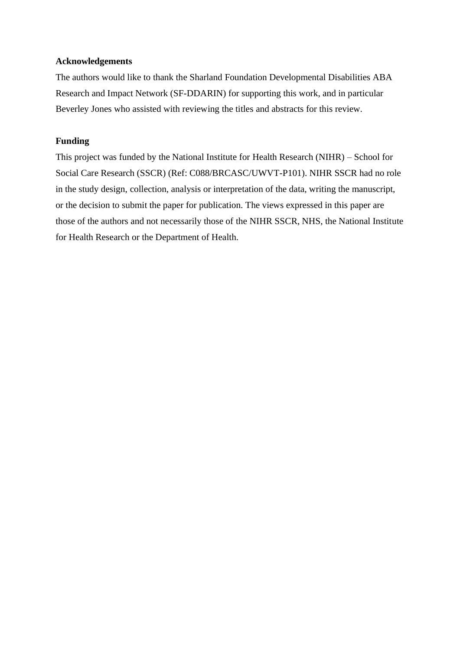## **Acknowledgements**

The authors would like to thank the Sharland Foundation Developmental Disabilities ABA Research and Impact Network (SF-DDARIN) for supporting this work, and in particular Beverley Jones who assisted with reviewing the titles and abstracts for this review.

# **Funding**

This project was funded by the National Institute for Health Research (NIHR) – School for Social Care Research (SSCR) (Ref: C088/BRCASC/UWVT-P101). NIHR SSCR had no role in the study design, collection, analysis or interpretation of the data, writing the manuscript, or the decision to submit the paper for publication. The views expressed in this paper are those of the authors and not necessarily those of the NIHR SSCR, NHS, the National Institute for Health Research or the Department of Health.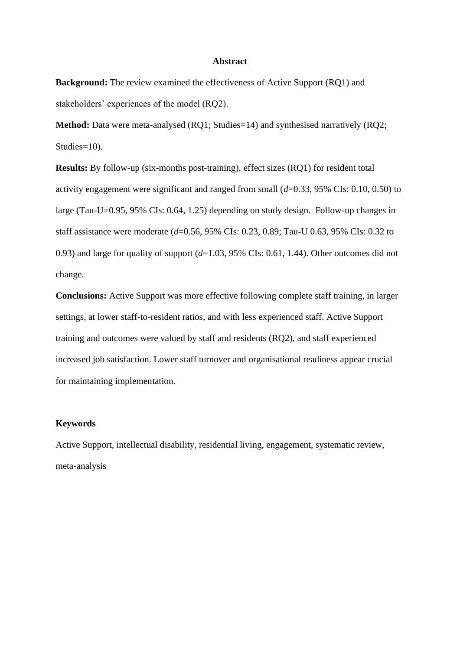#### **Abstract**

**Background:** The review examined the effectiveness of Active Support (RQ1) and stakeholders' experiences of the model (RQ2).

**Method:** Data were meta-analysed (RQ1; Studies=14) and synthesised narratively (RQ2; Studies=10).

**Results:** By follow-up (six-months post-training), effect sizes (RQ1) for resident total activity engagement were significant and ranged from small (*d*=0.33, 95% CIs: 0.10, 0.50) to large (Tau-U=0.95, 95% CIs: 0.64, 1.25) depending on study design. Follow-up changes in staff assistance were moderate (*d*=0.56, 95% CIs: 0.23, 0.89; Tau-U 0.63, 95% CIs: 0.32 to 0.93) and large for quality of support (*d*=1.03, 95% CIs: 0.61, 1.44). Other outcomes did not change.

**Conclusions:** Active Support was more effective following complete staff training, in larger settings, at lower staff-to-resident ratios, and with less experienced staff. Active Support training and outcomes were valued by staff and residents (RQ2), and staff experienced increased job satisfaction. Lower staff turnover and organisational readiness appear crucial for maintaining implementation.

### **Keywords**

Active Support, intellectual disability, residential living, engagement, systematic review, meta-analysis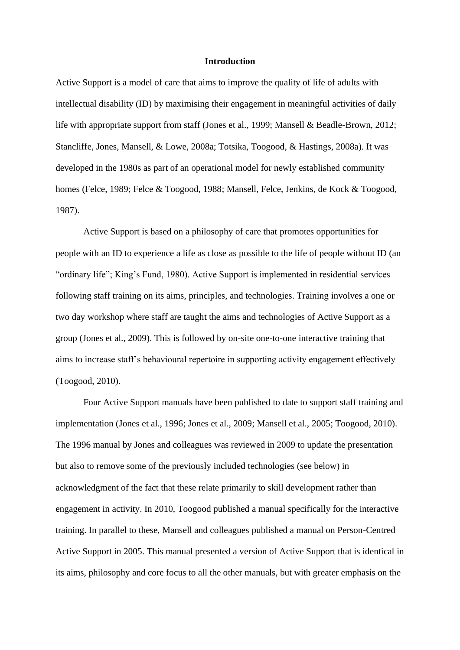#### **Introduction**

Active Support is a model of care that aims to improve the quality of life of adults with intellectual disability (ID) by maximising their engagement in meaningful activities of daily life with appropriate support from staff (Jones et al., 1999; Mansell & Beadle-Brown, 2012; Stancliffe, Jones, Mansell, & Lowe, 2008a; Totsika, Toogood, & Hastings, 2008a). It was developed in the 1980s as part of an operational model for newly established community homes (Felce, 1989; Felce & Toogood, 1988; Mansell, Felce, Jenkins, de Kock & Toogood, 1987).

Active Support is based on a philosophy of care that promotes opportunities for people with an ID to experience a life as close as possible to the life of people without ID (an "ordinary life"; King's Fund, 1980). Active Support is implemented in residential services following staff training on its aims, principles, and technologies. Training involves a one or two day workshop where staff are taught the aims and technologies of Active Support as a group (Jones et al., 2009). This is followed by on-site one-to-one interactive training that aims to increase staff's behavioural repertoire in supporting activity engagement effectively (Toogood, 2010).

Four Active Support manuals have been published to date to support staff training and implementation (Jones et al., 1996; Jones et al., 2009; Mansell et al., 2005; Toogood, 2010). The 1996 manual by Jones and colleagues was reviewed in 2009 to update the presentation but also to remove some of the previously included technologies (see below) in acknowledgment of the fact that these relate primarily to skill development rather than engagement in activity. In 2010, Toogood published a manual specifically for the interactive training. In parallel to these, Mansell and colleagues published a manual on Person-Centred Active Support in 2005. This manual presented a version of Active Support that is identical in its aims, philosophy and core focus to all the other manuals, but with greater emphasis on the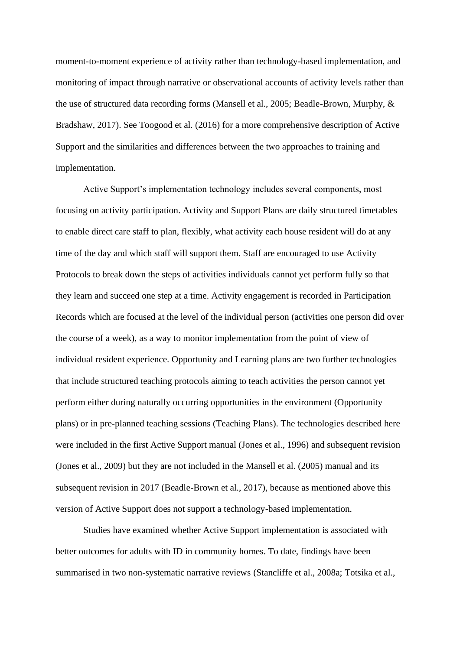moment-to-moment experience of activity rather than technology-based implementation, and monitoring of impact through narrative or observational accounts of activity levels rather than the use of structured data recording forms (Mansell et al., 2005; Beadle-Brown, Murphy, & Bradshaw, 2017). See Toogood et al. (2016) for a more comprehensive description of Active Support and the similarities and differences between the two approaches to training and implementation.

Active Support's implementation technology includes several components, most focusing on activity participation. Activity and Support Plans are daily structured timetables to enable direct care staff to plan, flexibly, what activity each house resident will do at any time of the day and which staff will support them. Staff are encouraged to use Activity Protocols to break down the steps of activities individuals cannot yet perform fully so that they learn and succeed one step at a time. Activity engagement is recorded in Participation Records which are focused at the level of the individual person (activities one person did over the course of a week), as a way to monitor implementation from the point of view of individual resident experience. Opportunity and Learning plans are two further technologies that include structured teaching protocols aiming to teach activities the person cannot yet perform either during naturally occurring opportunities in the environment (Opportunity plans) or in pre-planned teaching sessions (Teaching Plans). The technologies described here were included in the first Active Support manual (Jones et al., 1996) and subsequent revision (Jones et al., 2009) but they are not included in the Mansell et al. (2005) manual and its subsequent revision in 2017 (Beadle-Brown et al., 2017), because as mentioned above this version of Active Support does not support a technology-based implementation.

Studies have examined whether Active Support implementation is associated with better outcomes for adults with ID in community homes. To date, findings have been summarised in two non-systematic narrative reviews (Stancliffe et al., 2008a; Totsika et al.,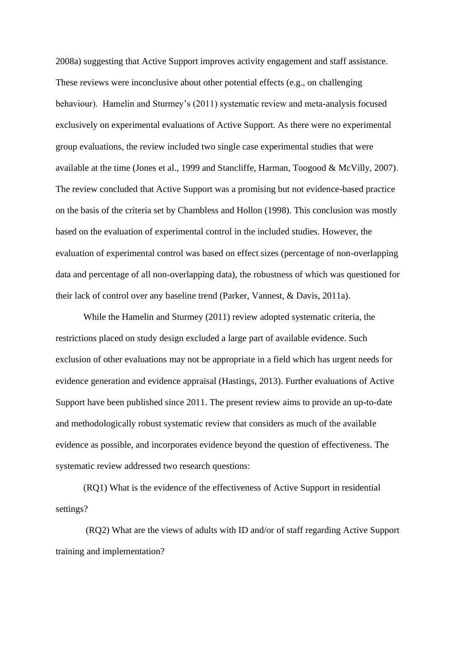2008a) suggesting that Active Support improves activity engagement and staff assistance. These reviews were inconclusive about other potential effects (e.g., on challenging behaviour). Hamelin and Sturmey's (2011) systematic review and meta-analysis focused exclusively on experimental evaluations of Active Support. As there were no experimental group evaluations, the review included two single case experimental studies that were available at the time (Jones et al., 1999 and Stancliffe, Harman, Toogood & McVilly, 2007). The review concluded that Active Support was a promising but not evidence-based practice on the basis of the criteria set by Chambless and Hollon (1998). This conclusion was mostly based on the evaluation of experimental control in the included studies. However, the evaluation of experimental control was based on effect sizes (percentage of non-overlapping data and percentage of all non-overlapping data), the robustness of which was questioned for their lack of control over any baseline trend (Parker, Vannest, & Davis, 2011a).

While the Hamelin and Sturmey (2011) review adopted systematic criteria, the restrictions placed on study design excluded a large part of available evidence. Such exclusion of other evaluations may not be appropriate in a field which has urgent needs for evidence generation and evidence appraisal (Hastings, 2013). Further evaluations of Active Support have been published since 2011. The present review aims to provide an up-to-date and methodologically robust systematic review that considers as much of the available evidence as possible, and incorporates evidence beyond the question of effectiveness. The systematic review addressed two research questions:

(RQ1) What is the evidence of the effectiveness of Active Support in residential settings?

(RQ2) What are the views of adults with ID and/or of staff regarding Active Support training and implementation?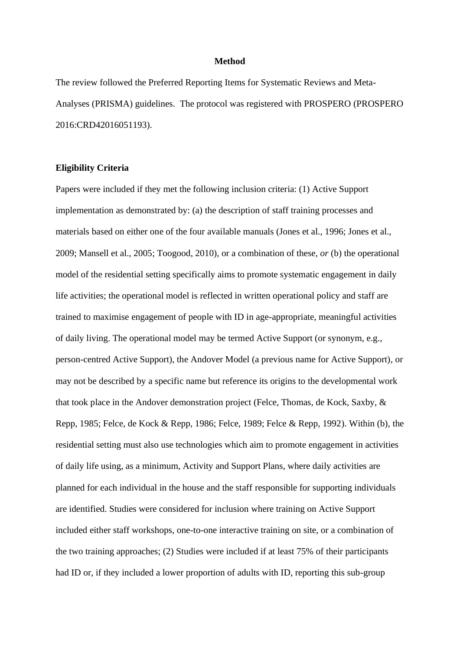#### **Method**

The review followed the Preferred Reporting Items for Systematic Reviews and Meta-Analyses (PRISMA) guidelines. The protocol was registered with PROSPERO (PROSPERO 2016:CRD42016051193).

### **Eligibility Criteria**

Papers were included if they met the following inclusion criteria: (1) Active Support implementation as demonstrated by: (a) the description of staff training processes and materials based on either one of the four available manuals (Jones et al., 1996; Jones et al., 2009; Mansell et al., 2005; Toogood, 2010), or a combination of these, *or* (b) the operational model of the residential setting specifically aims to promote systematic engagement in daily life activities; the operational model is reflected in written operational policy and staff are trained to maximise engagement of people with ID in age-appropriate, meaningful activities of daily living. The operational model may be termed Active Support (or synonym, e.g., person-centred Active Support), the Andover Model (a previous name for Active Support), or may not be described by a specific name but reference its origins to the developmental work that took place in the Andover demonstration project (Felce, Thomas, de Kock, Saxby, & Repp, 1985; Felce, de Kock & Repp, 1986; Felce, 1989; Felce & Repp, 1992). Within (b), the residential setting must also use technologies which aim to promote engagement in activities of daily life using, as a minimum, Activity and Support Plans, where daily activities are planned for each individual in the house and the staff responsible for supporting individuals are identified. Studies were considered for inclusion where training on Active Support included either staff workshops, one-to-one interactive training on site, or a combination of the two training approaches; (2) Studies were included if at least 75% of their participants had ID or, if they included a lower proportion of adults with ID, reporting this sub-group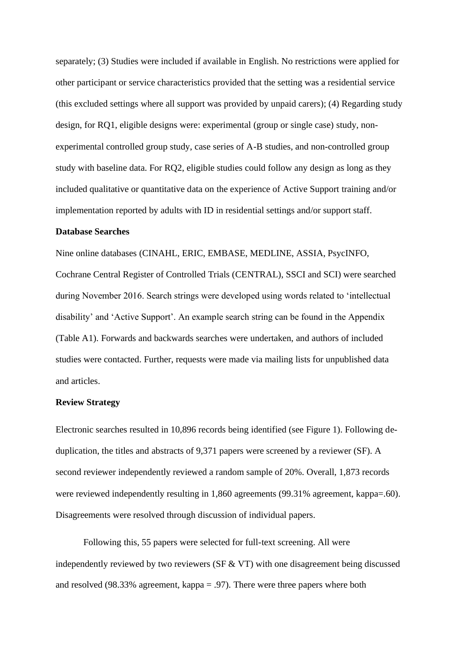separately; (3) Studies were included if available in English. No restrictions were applied for other participant or service characteristics provided that the setting was a residential service (this excluded settings where all support was provided by unpaid carers); (4) Regarding study design, for RQ1, eligible designs were: experimental (group or single case) study, nonexperimental controlled group study, case series of A-B studies, and non-controlled group study with baseline data. For RQ2, eligible studies could follow any design as long as they included qualitative or quantitative data on the experience of Active Support training and/or implementation reported by adults with ID in residential settings and/or support staff.

## **Database Searches**

Nine online databases (CINAHL, ERIC, EMBASE, MEDLINE, ASSIA, PsycINFO, Cochrane Central Register of Controlled Trials (CENTRAL), SSCI and SCI) were searched during November 2016. Search strings were developed using words related to 'intellectual disability' and 'Active Support'. An example search string can be found in the Appendix (Table A1). Forwards and backwards searches were undertaken, and authors of included studies were contacted. Further, requests were made via mailing lists for unpublished data and articles.

## **Review Strategy**

Electronic searches resulted in 10,896 records being identified (see Figure 1). Following deduplication, the titles and abstracts of 9,371 papers were screened by a reviewer (SF). A second reviewer independently reviewed a random sample of 20%. Overall, 1,873 records were reviewed independently resulting in 1,860 agreements (99.31% agreement, kappa=.60). Disagreements were resolved through discussion of individual papers.

Following this, 55 papers were selected for full-text screening. All were independently reviewed by two reviewers ( $SF & VT$ ) with one disagreement being discussed and resolved (98.33% agreement, kappa = .97). There were three papers where both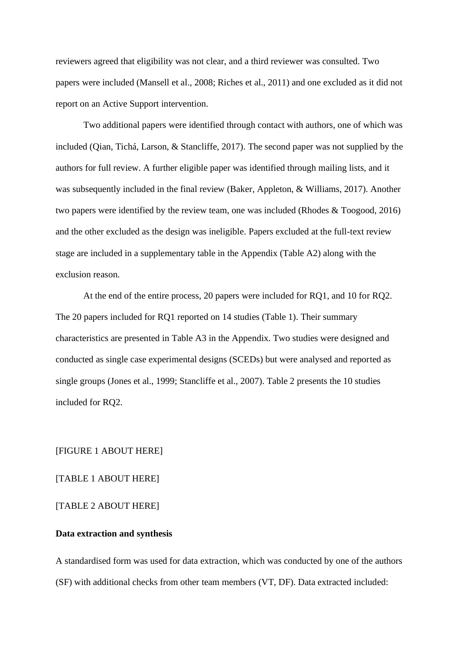reviewers agreed that eligibility was not clear, and a third reviewer was consulted. Two papers were included (Mansell et al., 2008; Riches et al., 2011) and one excluded as it did not report on an Active Support intervention.

Two additional papers were identified through contact with authors, one of which was included (Qian, Tichá, Larson, & Stancliffe, 2017). The second paper was not supplied by the authors for full review. A further eligible paper was identified through mailing lists, and it was subsequently included in the final review (Baker, Appleton, & Williams, 2017). Another two papers were identified by the review team, one was included (Rhodes & Toogood, 2016) and the other excluded as the design was ineligible. Papers excluded at the full-text review stage are included in a supplementary table in the Appendix (Table A2) along with the exclusion reason.

At the end of the entire process, 20 papers were included for RQ1, and 10 for RQ2. The 20 papers included for RQ1 reported on 14 studies (Table 1). Their summary characteristics are presented in Table A3 in the Appendix. Two studies were designed and conducted as single case experimental designs (SCEDs) but were analysed and reported as single groups (Jones et al., 1999; Stancliffe et al., 2007). Table 2 presents the 10 studies included for RQ2.

[FIGURE 1 ABOUT HERE]

[TABLE 1 ABOUT HERE]

[TABLE 2 ABOUT HERE]

## **Data extraction and synthesis**

A standardised form was used for data extraction, which was conducted by one of the authors (SF) with additional checks from other team members (VT, DF). Data extracted included: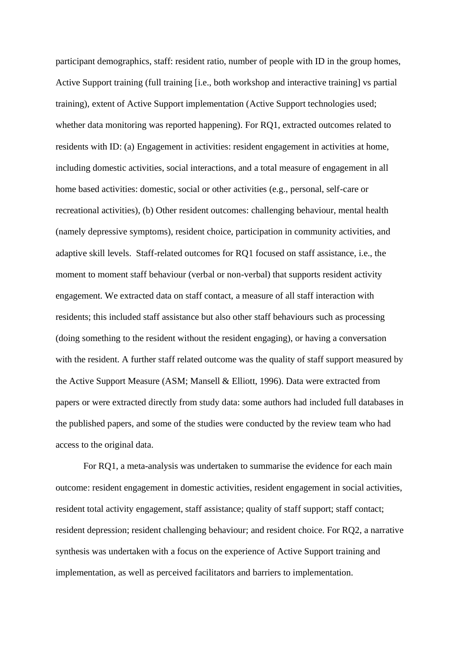participant demographics, staff: resident ratio, number of people with ID in the group homes, Active Support training (full training [i.e., both workshop and interactive training] vs partial training), extent of Active Support implementation (Active Support technologies used; whether data monitoring was reported happening). For RQ1, extracted outcomes related to residents with ID: (a) Engagement in activities: resident engagement in activities at home, including domestic activities, social interactions, and a total measure of engagement in all home based activities: domestic, social or other activities (e.g., personal, self-care or recreational activities), (b) Other resident outcomes: challenging behaviour, mental health (namely depressive symptoms), resident choice, participation in community activities, and adaptive skill levels. Staff-related outcomes for RQ1 focused on staff assistance, i.e., the moment to moment staff behaviour (verbal or non-verbal) that supports resident activity engagement. We extracted data on staff contact, a measure of all staff interaction with residents; this included staff assistance but also other staff behaviours such as processing (doing something to the resident without the resident engaging), or having a conversation with the resident. A further staff related outcome was the quality of staff support measured by the Active Support Measure (ASM; Mansell & Elliott, 1996). Data were extracted from papers or were extracted directly from study data: some authors had included full databases in the published papers, and some of the studies were conducted by the review team who had access to the original data.

For RQ1, a meta-analysis was undertaken to summarise the evidence for each main outcome: resident engagement in domestic activities, resident engagement in social activities, resident total activity engagement, staff assistance; quality of staff support; staff contact; resident depression; resident challenging behaviour; and resident choice. For RQ2, a narrative synthesis was undertaken with a focus on the experience of Active Support training and implementation, as well as perceived facilitators and barriers to implementation.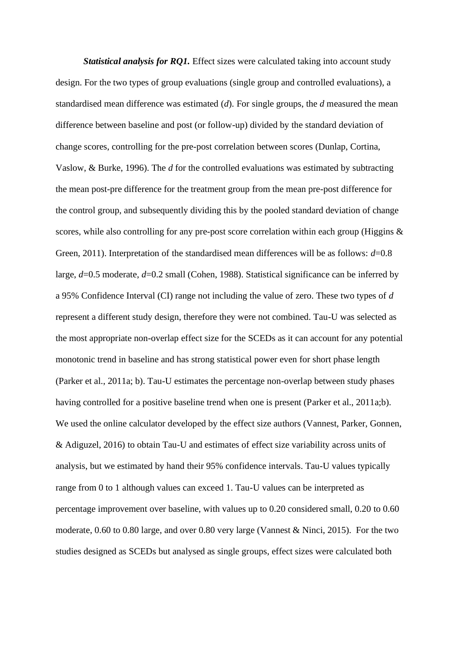*Statistical analysis for RQ1.* Effect sizes were calculated taking into account study design. For the two types of group evaluations (single group and controlled evaluations), a standardised mean difference was estimated (*d*). For single groups, the *d* measured the mean difference between baseline and post (or follow-up) divided by the standard deviation of change scores, controlling for the pre-post correlation between scores (Dunlap, Cortina, Vaslow, & Burke, 1996). The *d* for the controlled evaluations was estimated by subtracting the mean post-pre difference for the treatment group from the mean pre-post difference for the control group, and subsequently dividing this by the pooled standard deviation of change scores, while also controlling for any pre-post score correlation within each group (Higgins & Green, 2011). Interpretation of the standardised mean differences will be as follows: *d*=0.8 large, *d*=0.5 moderate, *d*=0.2 small (Cohen, 1988). Statistical significance can be inferred by a 95% Confidence Interval (CI) range not including the value of zero. These two types of *d* represent a different study design, therefore they were not combined. Tau-U was selected as the most appropriate non-overlap effect size for the SCEDs as it can account for any potential monotonic trend in baseline and has strong statistical power even for short phase length (Parker et al., 2011a; b). Tau-U estimates the percentage non-overlap between study phases having controlled for a positive baseline trend when one is present (Parker et al., 2011a;b). We used the online calculator developed by the effect size authors (Vannest, Parker, Gonnen, & Adiguzel, 2016) to obtain Tau-U and estimates of effect size variability across units of analysis, but we estimated by hand their 95% confidence intervals. Tau-U values typically range from 0 to 1 although values can exceed 1. Tau-U values can be interpreted as percentage improvement over baseline, with values up to 0.20 considered small, 0.20 to 0.60 moderate, 0.60 to 0.80 large, and over 0.80 very large (Vannest & Ninci, 2015). For the two studies designed as SCEDs but analysed as single groups, effect sizes were calculated both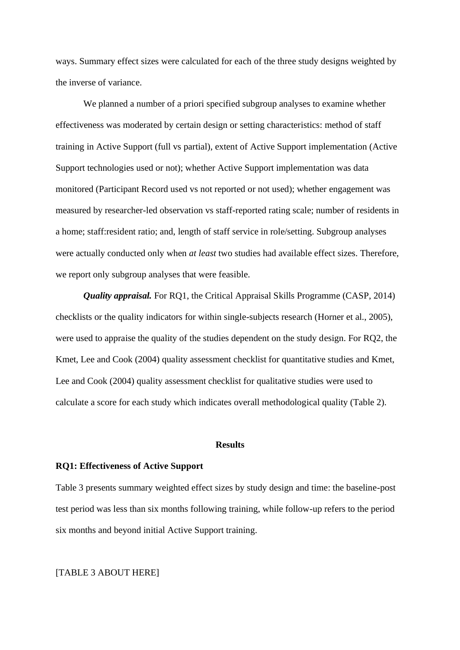ways. Summary effect sizes were calculated for each of the three study designs weighted by the inverse of variance.

We planned a number of a priori specified subgroup analyses to examine whether effectiveness was moderated by certain design or setting characteristics: method of staff training in Active Support (full vs partial), extent of Active Support implementation (Active Support technologies used or not); whether Active Support implementation was data monitored (Participant Record used vs not reported or not used); whether engagement was measured by researcher-led observation vs staff-reported rating scale; number of residents in a home; staff:resident ratio; and, length of staff service in role/setting. Subgroup analyses were actually conducted only when *at least* two studies had available effect sizes. Therefore, we report only subgroup analyses that were feasible.

*Quality appraisal.* For RQ1, the Critical Appraisal Skills Programme (CASP, 2014) checklists or the quality indicators for within single-subjects research (Horner et al., 2005), were used to appraise the quality of the studies dependent on the study design. For RQ2, the Kmet, Lee and Cook (2004) quality assessment checklist for quantitative studies and Kmet, Lee and Cook (2004) quality assessment checklist for qualitative studies were used to calculate a score for each study which indicates overall methodological quality (Table 2).

## **Results**

### **RQ1: Effectiveness of Active Support**

Table 3 presents summary weighted effect sizes by study design and time: the baseline-post test period was less than six months following training, while follow-up refers to the period six months and beyond initial Active Support training.

## [TABLE 3 ABOUT HERE]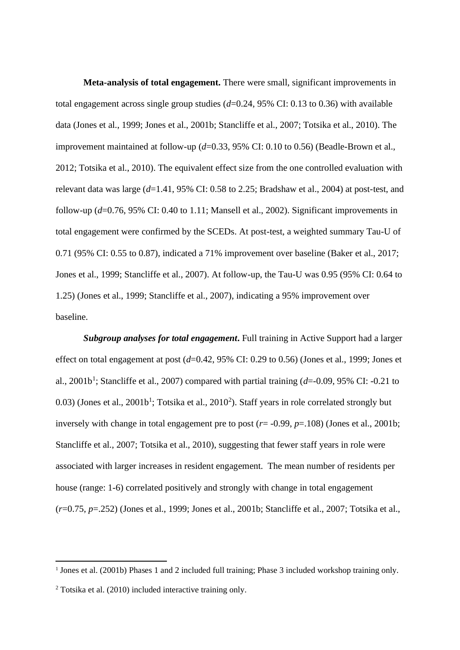**Meta-analysis of total engagement.** There were small, significant improvements in total engagement across single group studies (*d*=0.24, 95% CI: 0.13 to 0.36) with available data (Jones et al., 1999; Jones et al., 2001b; Stancliffe et al., 2007; Totsika et al., 2010). The improvement maintained at follow-up ( $d=0.33$ , 95% CI: 0.10 to 0.56) (Beadle-Brown et al., 2012; Totsika et al., 2010). The equivalent effect size from the one controlled evaluation with relevant data was large (*d*=1.41, 95% CI: 0.58 to 2.25; Bradshaw et al., 2004) at post-test, and follow-up (*d*=0.76, 95% CI: 0.40 to 1.11; Mansell et al., 2002). Significant improvements in total engagement were confirmed by the SCEDs. At post-test, a weighted summary Tau-U of 0.71 (95% CI: 0.55 to 0.87), indicated a 71% improvement over baseline (Baker et al., 2017; Jones et al., 1999; Stancliffe et al., 2007). At follow-up, the Tau-U was 0.95 (95% CI: 0.64 to 1.25) (Jones et al., 1999; Stancliffe et al., 2007), indicating a 95% improvement over baseline.

*Subgroup analyses for total engagement***.** Full training in Active Support had a larger effect on total engagement at post (*d*=0.42, 95% CI: 0.29 to 0.56) (Jones et al., 1999; Jones et al., 2001b<sup>1</sup>; Stancliffe et al., 2007) compared with partial training (d=-0.09, 95% CI: -0.21 to  $(0.03)$  (Jones et al.,  $2001b<sup>1</sup>$ ; Totsika et al.,  $2010<sup>2</sup>$ ). Staff years in role correlated strongly but inversely with change in total engagement pre to post (*r*= -0.99, *p*=.108) (Jones et al., 2001b; Stancliffe et al., 2007; Totsika et al., 2010), suggesting that fewer staff years in role were associated with larger increases in resident engagement. The mean number of residents per house (range: 1-6) correlated positively and strongly with change in total engagement (*r*=0.75, *p*=.252) (Jones et al., 1999; Jones et al., 2001b; Stancliffe et al., 2007; Totsika et al.,

<sup>&</sup>lt;sup>1</sup> Jones et al. (2001b) Phases 1 and 2 included full training; Phase 3 included workshop training only.

 $2$  Totsika et al. (2010) included interactive training only.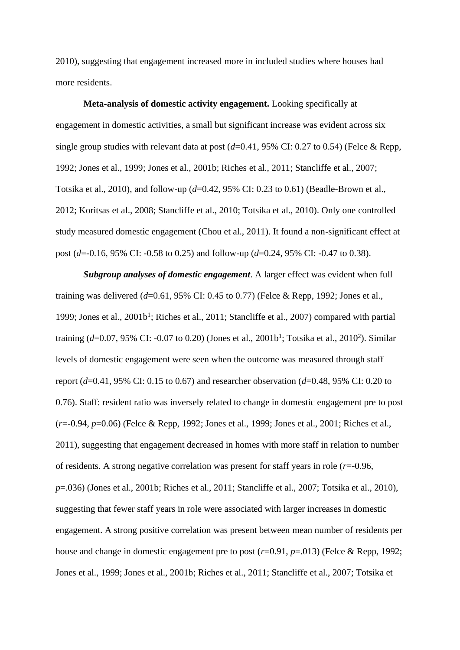2010), suggesting that engagement increased more in included studies where houses had more residents.

**Meta-analysis of domestic activity engagement.** Looking specifically at engagement in domestic activities, a small but significant increase was evident across six single group studies with relevant data at post (*d*=0.41, 95% CI: 0.27 to 0.54) (Felce & Repp, 1992; Jones et al., 1999; Jones et al., 2001b; Riches et al., 2011; Stancliffe et al., 2007; Totsika et al., 2010), and follow-up (*d*=0.42, 95% CI: 0.23 to 0.61) (Beadle-Brown et al., 2012; Koritsas et al., 2008; Stancliffe et al., 2010; Totsika et al., 2010). Only one controlled study measured domestic engagement (Chou et al., 2011). It found a non-significant effect at post (*d*=-0.16, 95% CI: -0.58 to 0.25) and follow-up (*d*=0.24, 95% CI: -0.47 to 0.38).

*Subgroup analyses of domestic engagement*. A larger effect was evident when full training was delivered (*d*=0.61, 95% CI: 0.45 to 0.77) (Felce & Repp, 1992; Jones et al., 1999; Jones et al., 2001b<sup>1</sup>; Riches et al., 2011; Stancliffe et al., 2007) compared with partial training (d=0.07, 95% CI: -0.07 to 0.20) (Jones et al., 2001b<sup>1</sup>; Totsika et al., 2010<sup>2</sup>). Similar levels of domestic engagement were seen when the outcome was measured through staff report (*d*=0.41, 95% CI: 0.15 to 0.67) and researcher observation (*d*=0.48, 95% CI: 0.20 to 0.76). Staff: resident ratio was inversely related to change in domestic engagement pre to post (*r*=-0.94, *p*=0.06) (Felce & Repp, 1992; Jones et al., 1999; Jones et al., 2001; Riches et al., 2011), suggesting that engagement decreased in homes with more staff in relation to number of residents. A strong negative correlation was present for staff years in role (*r*=-0.96, *p*=.036) (Jones et al., 2001b; Riches et al., 2011; Stancliffe et al., 2007; Totsika et al., 2010), suggesting that fewer staff years in role were associated with larger increases in domestic engagement. A strong positive correlation was present between mean number of residents per house and change in domestic engagement pre to post ( $r=0.91$ ,  $p=.013$ ) (Felce & Repp, 1992; Jones et al., 1999; Jones et al., 2001b; Riches et al., 2011; Stancliffe et al., 2007; Totsika et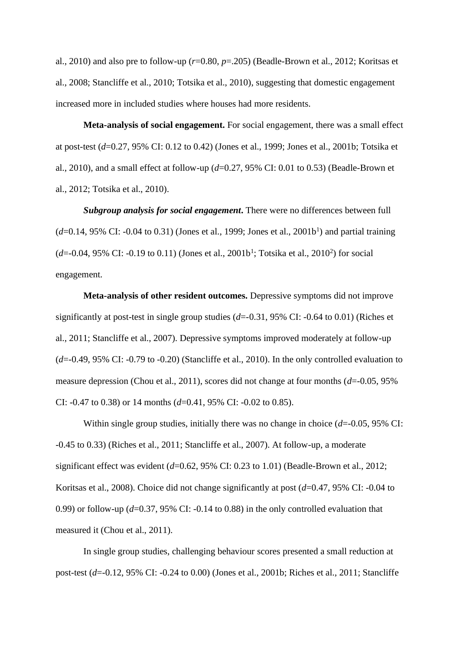al., 2010) and also pre to follow-up (*r*=0.80, *p*=.205) (Beadle-Brown et al., 2012; Koritsas et al., 2008; Stancliffe et al., 2010; Totsika et al., 2010), suggesting that domestic engagement increased more in included studies where houses had more residents.

**Meta-analysis of social engagement.** For social engagement, there was a small effect at post-test (*d*=0.27, 95% CI: 0.12 to 0.42) (Jones et al., 1999; Jones et al., 2001b; Totsika et al., 2010), and a small effect at follow-up (*d*=0.27, 95% CI: 0.01 to 0.53) (Beadle-Brown et al., 2012; Totsika et al., 2010).

*Subgroup analysis for social engagement***.** There were no differences between full  $(d=0.14, 95\% \text{ CI: } -0.04 \text{ to } 0.31)$  (Jones et al., 1999; Jones et al., 2001b<sup>1</sup>) and partial training (*d*=-0.04, 95% CI: -0.19 to 0.11) (Jones et al., 2001b<sup>1</sup>; Totsika et al., 2010<sup>2</sup>) for social engagement.

**Meta-analysis of other resident outcomes.** Depressive symptoms did not improve significantly at post-test in single group studies (*d*=-0.31, 95% CI: -0.64 to 0.01) (Riches et al., 2011; Stancliffe et al., 2007). Depressive symptoms improved moderately at follow-up  $(d=0.49, 95\% \text{ CI: } -0.79 \text{ to } -0.20)$  (Stancliffe et al., 2010). In the only controlled evaluation to measure depression (Chou et al., 2011), scores did not change at four months (*d*=-0.05, 95% CI: -0.47 to 0.38) or 14 months (*d*=0.41, 95% CI: -0.02 to 0.85).

Within single group studies, initially there was no change in choice (*d*=-0.05, 95% CI: -0.45 to 0.33) (Riches et al., 2011; Stancliffe et al., 2007). At follow-up, a moderate significant effect was evident (*d*=0.62, 95% CI: 0.23 to 1.01) (Beadle-Brown et al., 2012; Koritsas et al., 2008). Choice did not change significantly at post (*d*=0.47, 95% CI: -0.04 to 0.99) or follow-up (*d*=0.37, 95% CI: -0.14 to 0.88) in the only controlled evaluation that measured it (Chou et al., 2011).

In single group studies, challenging behaviour scores presented a small reduction at post-test (*d*=-0.12, 95% CI: -0.24 to 0.00) (Jones et al., 2001b; Riches et al., 2011; Stancliffe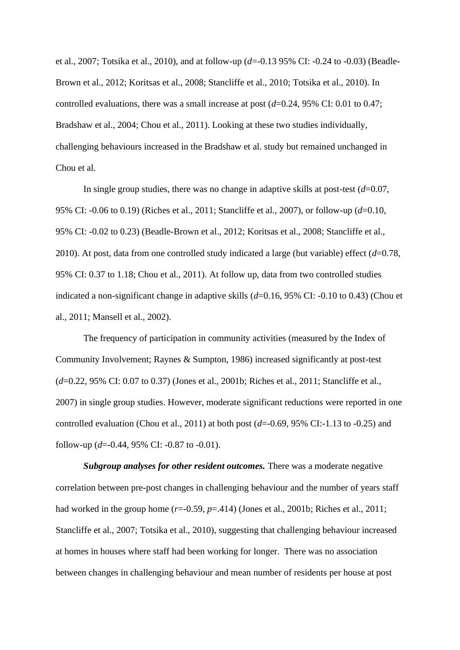et al., 2007; Totsika et al., 2010), and at follow-up (*d*=-0.13 95% CI: -0.24 to -0.03) (Beadle-Brown et al., 2012; Koritsas et al., 2008; Stancliffe et al., 2010; Totsika et al., 2010). In controlled evaluations, there was a small increase at post (*d*=0.24, 95% CI: 0.01 to 0.47; Bradshaw et al., 2004; Chou et al., 2011). Looking at these two studies individually, challenging behaviours increased in the Bradshaw et al. study but remained unchanged in Chou et al.

In single group studies, there was no change in adaptive skills at post-test (*d*=0.07, 95% CI: -0.06 to 0.19) (Riches et al., 2011; Stancliffe et al., 2007), or follow-up (*d*=0.10, 95% CI: -0.02 to 0.23) (Beadle-Brown et al., 2012; Koritsas et al., 2008; Stancliffe et al., 2010). At post, data from one controlled study indicated a large (but variable) effect (*d*=0.78, 95% CI: 0.37 to 1.18; Chou et al., 2011). At follow up, data from two controlled studies indicated a non-significant change in adaptive skills (*d*=0.16, 95% CI: -0.10 to 0.43) (Chou et al., 2011; Mansell et al., 2002).

The frequency of participation in community activities (measured by the Index of Community Involvement; Raynes & Sumpton, 1986) increased significantly at post-test (*d*=0.22, 95% CI: 0.07 to 0.37) (Jones et al., 2001b; Riches et al., 2011; Stancliffe et al., 2007) in single group studies. However, moderate significant reductions were reported in one controlled evaluation (Chou et al., 2011) at both post  $(d=0.69, 95\% \text{ CI}$ :-1.13 to -0.25) and follow-up  $(d=0.44, 95\% \text{ CI: } -0.87 \text{ to } -0.01)$ .

*Subgroup analyses for other resident outcomes.* There was a moderate negative correlation between pre-post changes in challenging behaviour and the number of years staff had worked in the group home  $(r=0.59, p=.414)$  (Jones et al., 2001b; Riches et al., 2011; Stancliffe et al., 2007; Totsika et al., 2010), suggesting that challenging behaviour increased at homes in houses where staff had been working for longer. There was no association between changes in challenging behaviour and mean number of residents per house at post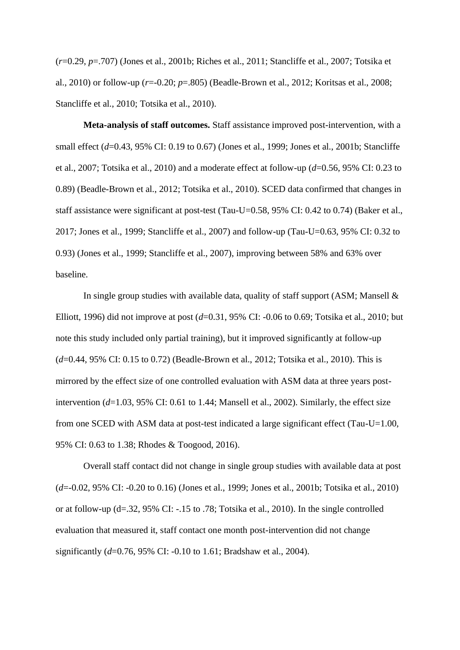(*r*=0.29, *p*=.707) (Jones et al., 2001b; Riches et al., 2011; Stancliffe et al., 2007; Totsika et al., 2010) or follow-up (*r*=-0.20; *p*=.805) (Beadle-Brown et al., 2012; Koritsas et al., 2008; Stancliffe et al., 2010; Totsika et al., 2010).

**Meta-analysis of staff outcomes.** Staff assistance improved post-intervention, with a small effect (*d*=0.43, 95% CI: 0.19 to 0.67) (Jones et al., 1999; Jones et al., 2001b; Stancliffe et al., 2007; Totsika et al., 2010) and a moderate effect at follow-up (*d*=0.56, 95% CI: 0.23 to 0.89) (Beadle-Brown et al., 2012; Totsika et al., 2010). SCED data confirmed that changes in staff assistance were significant at post-test (Tau-U=0.58, 95% CI: 0.42 to 0.74) (Baker et al., 2017; Jones et al., 1999; Stancliffe et al., 2007) and follow-up (Tau-U=0.63, 95% CI: 0.32 to 0.93) (Jones et al., 1999; Stancliffe et al., 2007), improving between 58% and 63% over baseline.

In single group studies with available data, quality of staff support (ASM; Mansell  $\&$ Elliott, 1996) did not improve at post (*d*=0.31, 95% CI: -0.06 to 0.69; Totsika et al., 2010; but note this study included only partial training), but it improved significantly at follow-up (*d*=0.44, 95% CI: 0.15 to 0.72) (Beadle-Brown et al., 2012; Totsika et al., 2010). This is mirrored by the effect size of one controlled evaluation with ASM data at three years postintervention (*d*=1.03, 95% CI: 0.61 to 1.44; Mansell et al., 2002). Similarly, the effect size from one SCED with ASM data at post-test indicated a large significant effect (Tau-U=1.00, 95% CI: 0.63 to 1.38; Rhodes & Toogood, 2016).

Overall staff contact did not change in single group studies with available data at post (*d*=-0.02, 95% CI: -0.20 to 0.16) (Jones et al., 1999; Jones et al., 2001b; Totsika et al., 2010) or at follow-up (d=.32, 95% CI: -.15 to .78; Totsika et al., 2010). In the single controlled evaluation that measured it, staff contact one month post-intervention did not change significantly (*d*=0.76, 95% CI: -0.10 to 1.61; Bradshaw et al., 2004).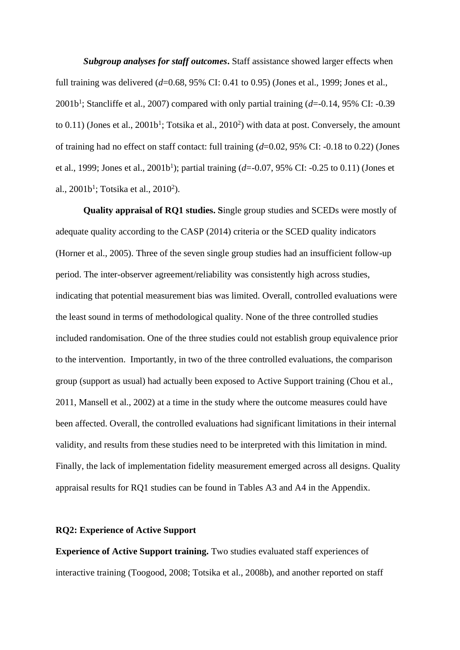*Subgroup analyses for staff outcomes***.** Staff assistance showed larger effects when full training was delivered (*d*=0.68, 95% CI: 0.41 to 0.95) (Jones et al., 1999; Jones et al., 2001b<sup>1</sup> ; Stancliffe et al., 2007) compared with only partial training (*d*=-0.14, 95% CI: -0.39 to  $0.11$ ) (Jones et al.,  $2001b^1$ ; Totsika et al.,  $2010^2$ ) with data at post. Conversely, the amount of training had no effect on staff contact: full training (*d*=0.02, 95% CI: -0.18 to 0.22) (Jones et al., 1999; Jones et al., 2001b<sup>1</sup>); partial training (d=-0.07, 95% CI: -0.25 to 0.11) (Jones et al.,  $2001b^1$ ; Totsika et al.,  $2010^2$ ).

**Quality appraisal of RQ1 studies. S**ingle group studies and SCEDs were mostly of adequate quality according to the CASP (2014) criteria or the SCED quality indicators (Horner et al., 2005). Three of the seven single group studies had an insufficient follow-up period. The inter-observer agreement/reliability was consistently high across studies, indicating that potential measurement bias was limited. Overall, controlled evaluations were the least sound in terms of methodological quality. None of the three controlled studies included randomisation. One of the three studies could not establish group equivalence prior to the intervention. Importantly, in two of the three controlled evaluations, the comparison group (support as usual) had actually been exposed to Active Support training (Chou et al., 2011, Mansell et al., 2002) at a time in the study where the outcome measures could have been affected. Overall, the controlled evaluations had significant limitations in their internal validity, and results from these studies need to be interpreted with this limitation in mind. Finally, the lack of implementation fidelity measurement emerged across all designs. Quality appraisal results for RQ1 studies can be found in Tables A3 and A4 in the Appendix.

## **RQ2: Experience of Active Support**

**Experience of Active Support training.** Two studies evaluated staff experiences of interactive training (Toogood, 2008; Totsika et al., 2008b), and another reported on staff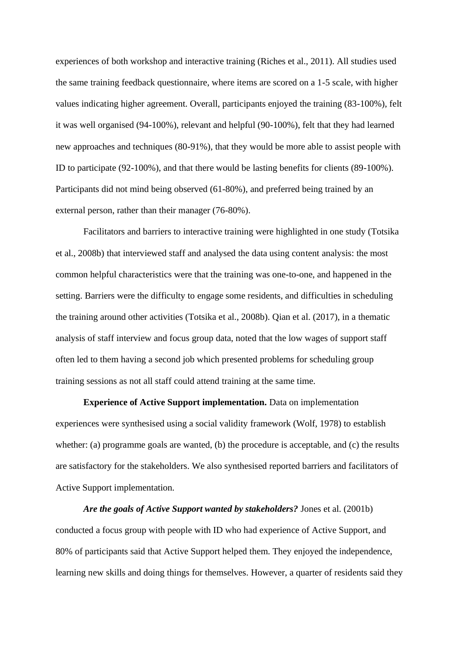experiences of both workshop and interactive training (Riches et al., 2011). All studies used the same training feedback questionnaire, where items are scored on a 1-5 scale, with higher values indicating higher agreement. Overall, participants enjoyed the training (83-100%), felt it was well organised (94-100%), relevant and helpful (90-100%), felt that they had learned new approaches and techniques (80-91%), that they would be more able to assist people with ID to participate (92-100%), and that there would be lasting benefits for clients (89-100%). Participants did not mind being observed (61-80%), and preferred being trained by an external person, rather than their manager (76-80%).

Facilitators and barriers to interactive training were highlighted in one study (Totsika et al., 2008b) that interviewed staff and analysed the data using content analysis: the most common helpful characteristics were that the training was one-to-one, and happened in the setting. Barriers were the difficulty to engage some residents, and difficulties in scheduling the training around other activities (Totsika et al., 2008b). Qian et al. (2017), in a thematic analysis of staff interview and focus group data, noted that the low wages of support staff often led to them having a second job which presented problems for scheduling group training sessions as not all staff could attend training at the same time.

**Experience of Active Support implementation.** Data on implementation experiences were synthesised using a social validity framework (Wolf, 1978) to establish whether: (a) programme goals are wanted, (b) the procedure is acceptable, and (c) the results are satisfactory for the stakeholders. We also synthesised reported barriers and facilitators of Active Support implementation.

*Are the goals of Active Support wanted by stakeholders?* Jones et al. (2001b) conducted a focus group with people with ID who had experience of Active Support, and 80% of participants said that Active Support helped them. They enjoyed the independence, learning new skills and doing things for themselves. However, a quarter of residents said they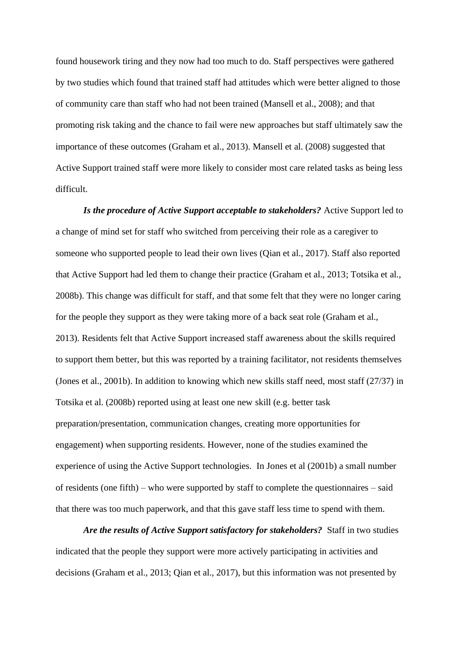found housework tiring and they now had too much to do. Staff perspectives were gathered by two studies which found that trained staff had attitudes which were better aligned to those of community care than staff who had not been trained (Mansell et al., 2008); and that promoting risk taking and the chance to fail were new approaches but staff ultimately saw the importance of these outcomes (Graham et al., 2013). Mansell et al. (2008) suggested that Active Support trained staff were more likely to consider most care related tasks as being less difficult.

*Is the procedure of Active Support acceptable to stakeholders?* Active Support led to a change of mind set for staff who switched from perceiving their role as a caregiver to someone who supported people to lead their own lives (Qian et al., 2017). Staff also reported that Active Support had led them to change their practice (Graham et al., 2013; Totsika et al., 2008b). This change was difficult for staff, and that some felt that they were no longer caring for the people they support as they were taking more of a back seat role (Graham et al., 2013). Residents felt that Active Support increased staff awareness about the skills required to support them better, but this was reported by a training facilitator, not residents themselves (Jones et al., 2001b). In addition to knowing which new skills staff need, most staff (27/37) in Totsika et al. (2008b) reported using at least one new skill (e.g. better task preparation/presentation, communication changes, creating more opportunities for engagement) when supporting residents. However, none of the studies examined the experience of using the Active Support technologies. In Jones et al (2001b) a small number of residents (one fifth) – who were supported by staff to complete the questionnaires – said that there was too much paperwork, and that this gave staff less time to spend with them.

*Are the results of Active Support satisfactory for stakeholders?* Staff in two studies indicated that the people they support were more actively participating in activities and decisions (Graham et al., 2013; Qian et al., 2017), but this information was not presented by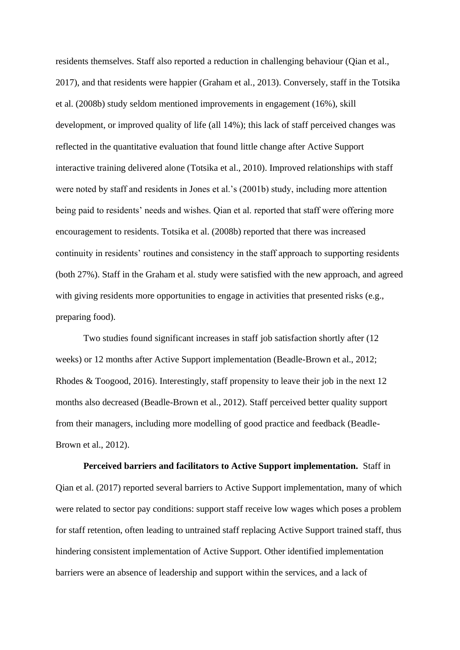residents themselves. Staff also reported a reduction in challenging behaviour (Qian et al., 2017), and that residents were happier (Graham et al., 2013). Conversely, staff in the Totsika et al. (2008b) study seldom mentioned improvements in engagement (16%), skill development, or improved quality of life (all 14%); this lack of staff perceived changes was reflected in the quantitative evaluation that found little change after Active Support interactive training delivered alone (Totsika et al., 2010). Improved relationships with staff were noted by staff and residents in Jones et al.'s (2001b) study, including more attention being paid to residents' needs and wishes. Qian et al. reported that staff were offering more encouragement to residents. Totsika et al. (2008b) reported that there was increased continuity in residents' routines and consistency in the staff approach to supporting residents (both 27%). Staff in the Graham et al. study were satisfied with the new approach, and agreed with giving residents more opportunities to engage in activities that presented risks (e.g., preparing food).

Two studies found significant increases in staff job satisfaction shortly after (12 weeks) or 12 months after Active Support implementation (Beadle-Brown et al., 2012; Rhodes & Toogood, 2016). Interestingly, staff propensity to leave their job in the next 12 months also decreased (Beadle-Brown et al., 2012). Staff perceived better quality support from their managers, including more modelling of good practice and feedback (Beadle-Brown et al., 2012).

**Perceived barriers and facilitators to Active Support implementation.** Staff in Qian et al. (2017) reported several barriers to Active Support implementation, many of which were related to sector pay conditions: support staff receive low wages which poses a problem for staff retention, often leading to untrained staff replacing Active Support trained staff, thus hindering consistent implementation of Active Support. Other identified implementation barriers were an absence of leadership and support within the services, and a lack of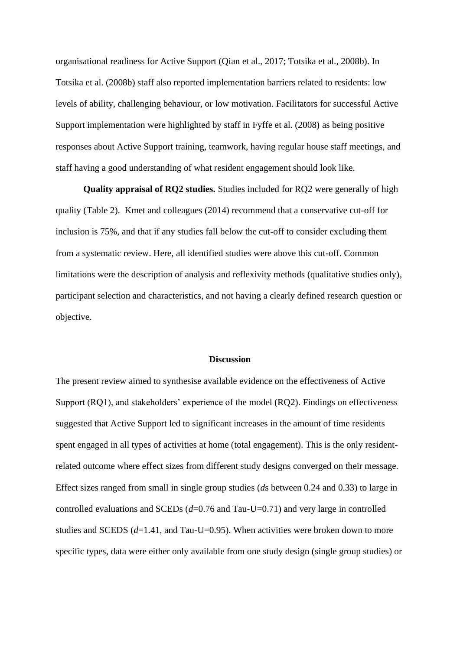organisational readiness for Active Support (Qian et al., 2017; Totsika et al., 2008b). In Totsika et al. (2008b) staff also reported implementation barriers related to residents: low levels of ability, challenging behaviour, or low motivation. Facilitators for successful Active Support implementation were highlighted by staff in Fyffe et al. (2008) as being positive responses about Active Support training, teamwork, having regular house staff meetings, and staff having a good understanding of what resident engagement should look like.

**Quality appraisal of RQ2 studies.** Studies included for RQ2 were generally of high quality (Table 2). Kmet and colleagues (2014) recommend that a conservative cut-off for inclusion is 75%, and that if any studies fall below the cut-off to consider excluding them from a systematic review. Here, all identified studies were above this cut-off. Common limitations were the description of analysis and reflexivity methods (qualitative studies only), participant selection and characteristics, and not having a clearly defined research question or objective.

#### **Discussion**

The present review aimed to synthesise available evidence on the effectiveness of Active Support (RQ1), and stakeholders' experience of the model (RQ2). Findings on effectiveness suggested that Active Support led to significant increases in the amount of time residents spent engaged in all types of activities at home (total engagement). This is the only residentrelated outcome where effect sizes from different study designs converged on their message. Effect sizes ranged from small in single group studies (*d*s between 0.24 and 0.33) to large in controlled evaluations and SCEDs (*d*=0.76 and Tau-U=0.71) and very large in controlled studies and SCEDS (*d*=1.41, and Tau-U=0.95). When activities were broken down to more specific types, data were either only available from one study design (single group studies) or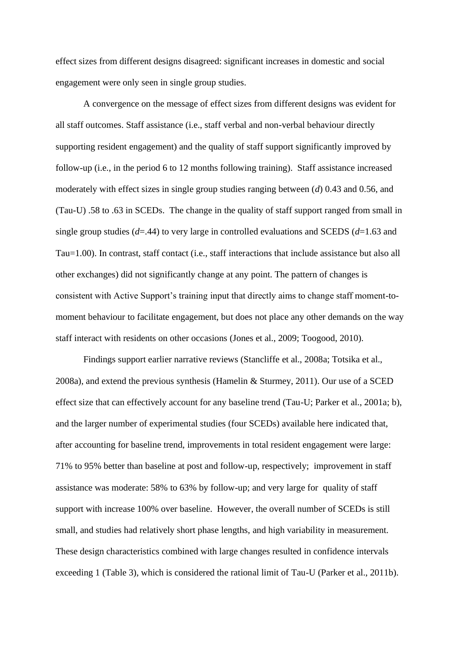effect sizes from different designs disagreed: significant increases in domestic and social engagement were only seen in single group studies.

A convergence on the message of effect sizes from different designs was evident for all staff outcomes. Staff assistance (i.e., staff verbal and non-verbal behaviour directly supporting resident engagement) and the quality of staff support significantly improved by follow-up (i.e., in the period 6 to 12 months following training). Staff assistance increased moderately with effect sizes in single group studies ranging between (*d*) 0.43 and 0.56, and (Tau-U) .58 to .63 in SCEDs. The change in the quality of staff support ranged from small in single group studies (*d*=.44) to very large in controlled evaluations and SCEDS (*d*=1.63 and Tau=1.00). In contrast, staff contact (i.e., staff interactions that include assistance but also all other exchanges) did not significantly change at any point. The pattern of changes is consistent with Active Support's training input that directly aims to change staff moment-tomoment behaviour to facilitate engagement, but does not place any other demands on the way staff interact with residents on other occasions (Jones et al., 2009; Toogood, 2010).

Findings support earlier narrative reviews (Stancliffe et al., 2008a; Totsika et al., 2008a), and extend the previous synthesis (Hamelin & Sturmey, 2011). Our use of a SCED effect size that can effectively account for any baseline trend (Tau-U; Parker et al., 2001a; b), and the larger number of experimental studies (four SCEDs) available here indicated that, after accounting for baseline trend, improvements in total resident engagement were large: 71% to 95% better than baseline at post and follow-up, respectively; improvement in staff assistance was moderate: 58% to 63% by follow-up; and very large for quality of staff support with increase 100% over baseline. However, the overall number of SCEDs is still small, and studies had relatively short phase lengths, and high variability in measurement. These design characteristics combined with large changes resulted in confidence intervals exceeding 1 (Table 3), which is considered the rational limit of Tau-U (Parker et al., 2011b).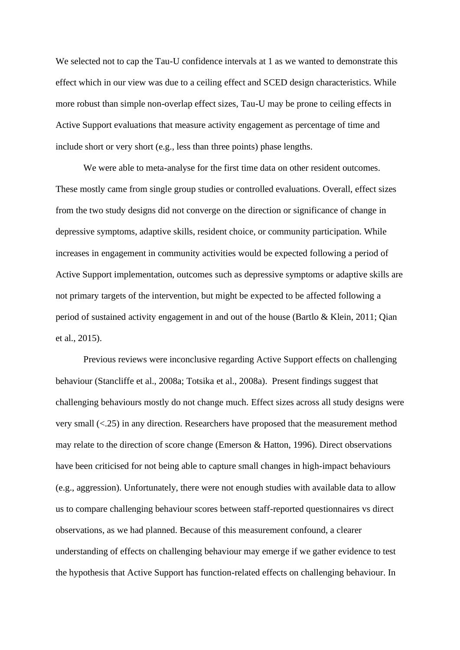We selected not to cap the Tau-U confidence intervals at 1 as we wanted to demonstrate this effect which in our view was due to a ceiling effect and SCED design characteristics. While more robust than simple non-overlap effect sizes, Tau-U may be prone to ceiling effects in Active Support evaluations that measure activity engagement as percentage of time and include short or very short (e.g., less than three points) phase lengths.

We were able to meta-analyse for the first time data on other resident outcomes. These mostly came from single group studies or controlled evaluations. Overall, effect sizes from the two study designs did not converge on the direction or significance of change in depressive symptoms, adaptive skills, resident choice, or community participation. While increases in engagement in community activities would be expected following a period of Active Support implementation, outcomes such as depressive symptoms or adaptive skills are not primary targets of the intervention, but might be expected to be affected following a period of sustained activity engagement in and out of the house (Bartlo & Klein, 2011; Qian et al., 2015).

Previous reviews were inconclusive regarding Active Support effects on challenging behaviour (Stancliffe et al., 2008a; Totsika et al., 2008a). Present findings suggest that challenging behaviours mostly do not change much. Effect sizes across all study designs were very small (<.25) in any direction. Researchers have proposed that the measurement method may relate to the direction of score change (Emerson & Hatton, 1996). Direct observations have been criticised for not being able to capture small changes in high-impact behaviours (e.g., aggression). Unfortunately, there were not enough studies with available data to allow us to compare challenging behaviour scores between staff-reported questionnaires vs direct observations, as we had planned. Because of this measurement confound, a clearer understanding of effects on challenging behaviour may emerge if we gather evidence to test the hypothesis that Active Support has function-related effects on challenging behaviour. In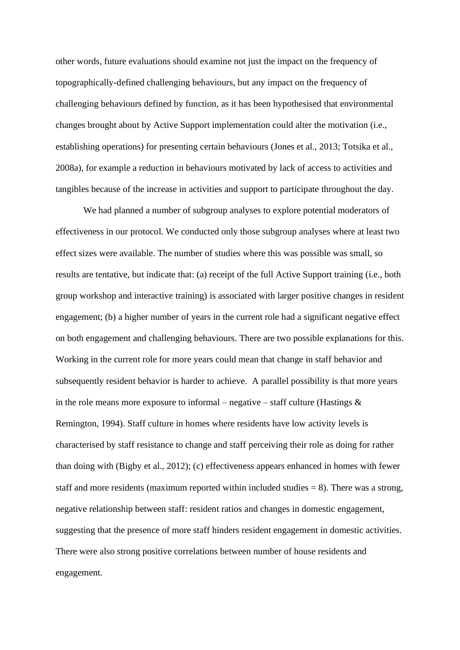other words, future evaluations should examine not just the impact on the frequency of topographically-defined challenging behaviours, but any impact on the frequency of challenging behaviours defined by function, as it has been hypothesised that environmental changes brought about by Active Support implementation could alter the motivation (i.e., establishing operations) for presenting certain behaviours (Jones et al., 2013; Totsika et al., 2008a), for example a reduction in behaviours motivated by lack of access to activities and tangibles because of the increase in activities and support to participate throughout the day.

We had planned a number of subgroup analyses to explore potential moderators of effectiveness in our protocol. We conducted only those subgroup analyses where at least two effect sizes were available. The number of studies where this was possible was small, so results are tentative, but indicate that: (a) receipt of the full Active Support training (i.e., both group workshop and interactive training) is associated with larger positive changes in resident engagement; (b) a higher number of years in the current role had a significant negative effect on both engagement and challenging behaviours. There are two possible explanations for this. Working in the current role for more years could mean that change in staff behavior and subsequently resident behavior is harder to achieve. A parallel possibility is that more years in the role means more exposure to informal – negative – staff culture (Hastings  $\&$ Remington, 1994). Staff culture in homes where residents have low activity levels is characterised by staff resistance to change and staff perceiving their role as doing for rather than doing with (Bigby et al., 2012); (c) effectiveness appears enhanced in homes with fewer staff and more residents (maximum reported within included studies  $= 8$ ). There was a strong, negative relationship between staff: resident ratios and changes in domestic engagement, suggesting that the presence of more staff hinders resident engagement in domestic activities. There were also strong positive correlations between number of house residents and engagement.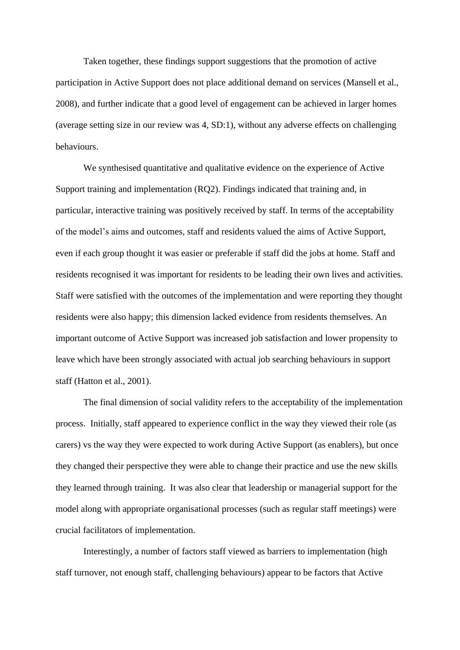Taken together, these findings support suggestions that the promotion of active participation in Active Support does not place additional demand on services (Mansell et al., 2008), and further indicate that a good level of engagement can be achieved in larger homes (average setting size in our review was 4, SD:1), without any adverse effects on challenging behaviours.

We synthesised quantitative and qualitative evidence on the experience of Active Support training and implementation (RQ2). Findings indicated that training and, in particular, interactive training was positively received by staff. In terms of the acceptability of the model's aims and outcomes, staff and residents valued the aims of Active Support, even if each group thought it was easier or preferable if staff did the jobs at home. Staff and residents recognised it was important for residents to be leading their own lives and activities. Staff were satisfied with the outcomes of the implementation and were reporting they thought residents were also happy; this dimension lacked evidence from residents themselves. An important outcome of Active Support was increased job satisfaction and lower propensity to leave which have been strongly associated with actual job searching behaviours in support staff (Hatton et al., 2001).

The final dimension of social validity refers to the acceptability of the implementation process. Initially, staff appeared to experience conflict in the way they viewed their role (as carers) vs the way they were expected to work during Active Support (as enablers), but once they changed their perspective they were able to change their practice and use the new skills they learned through training. It was also clear that leadership or managerial support for the model along with appropriate organisational processes (such as regular staff meetings) were crucial facilitators of implementation.

Interestingly, a number of factors staff viewed as barriers to implementation (high staff turnover, not enough staff, challenging behaviours) appear to be factors that Active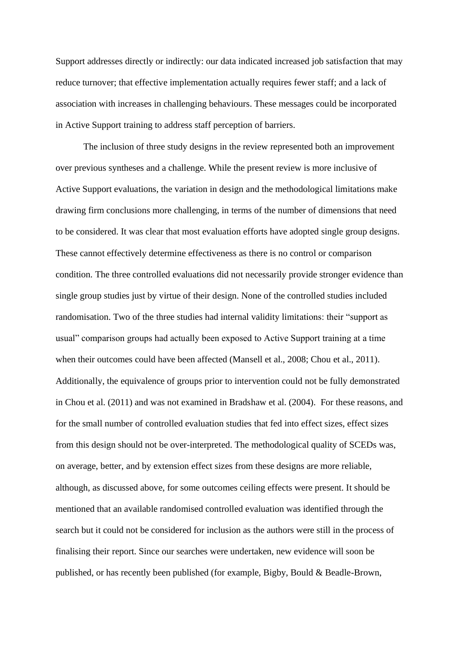Support addresses directly or indirectly: our data indicated increased job satisfaction that may reduce turnover; that effective implementation actually requires fewer staff; and a lack of association with increases in challenging behaviours. These messages could be incorporated in Active Support training to address staff perception of barriers.

The inclusion of three study designs in the review represented both an improvement over previous syntheses and a challenge. While the present review is more inclusive of Active Support evaluations, the variation in design and the methodological limitations make drawing firm conclusions more challenging, in terms of the number of dimensions that need to be considered. It was clear that most evaluation efforts have adopted single group designs. These cannot effectively determine effectiveness as there is no control or comparison condition. The three controlled evaluations did not necessarily provide stronger evidence than single group studies just by virtue of their design. None of the controlled studies included randomisation. Two of the three studies had internal validity limitations: their "support as usual" comparison groups had actually been exposed to Active Support training at a time when their outcomes could have been affected (Mansell et al., 2008; Chou et al., 2011). Additionally, the equivalence of groups prior to intervention could not be fully demonstrated in Chou et al. (2011) and was not examined in Bradshaw et al. (2004). For these reasons, and for the small number of controlled evaluation studies that fed into effect sizes, effect sizes from this design should not be over-interpreted. The methodological quality of SCEDs was, on average, better, and by extension effect sizes from these designs are more reliable, although, as discussed above, for some outcomes ceiling effects were present. It should be mentioned that an available randomised controlled evaluation was identified through the search but it could not be considered for inclusion as the authors were still in the process of finalising their report. Since our searches were undertaken, new evidence will soon be published, or has recently been published (for example, Bigby, Bould & Beadle-Brown,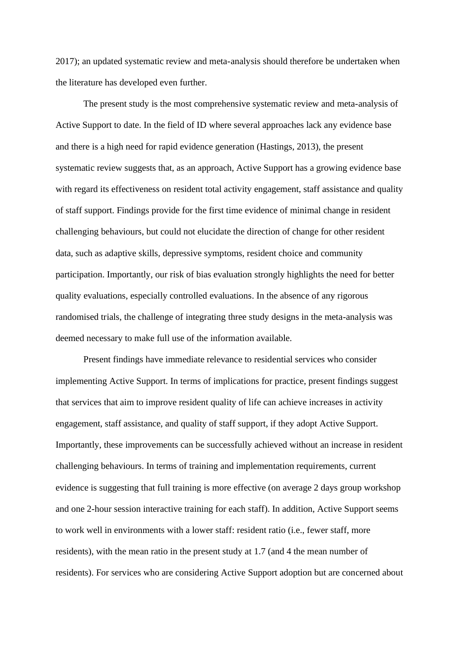2017); an updated systematic review and meta-analysis should therefore be undertaken when the literature has developed even further.

The present study is the most comprehensive systematic review and meta-analysis of Active Support to date. In the field of ID where several approaches lack any evidence base and there is a high need for rapid evidence generation (Hastings, 2013), the present systematic review suggests that, as an approach, Active Support has a growing evidence base with regard its effectiveness on resident total activity engagement, staff assistance and quality of staff support. Findings provide for the first time evidence of minimal change in resident challenging behaviours, but could not elucidate the direction of change for other resident data, such as adaptive skills, depressive symptoms, resident choice and community participation. Importantly, our risk of bias evaluation strongly highlights the need for better quality evaluations, especially controlled evaluations. In the absence of any rigorous randomised trials, the challenge of integrating three study designs in the meta-analysis was deemed necessary to make full use of the information available.

Present findings have immediate relevance to residential services who consider implementing Active Support. In terms of implications for practice, present findings suggest that services that aim to improve resident quality of life can achieve increases in activity engagement, staff assistance, and quality of staff support, if they adopt Active Support. Importantly, these improvements can be successfully achieved without an increase in resident challenging behaviours. In terms of training and implementation requirements, current evidence is suggesting that full training is more effective (on average 2 days group workshop and one 2-hour session interactive training for each staff). In addition, Active Support seems to work well in environments with a lower staff: resident ratio (i.e., fewer staff, more residents), with the mean ratio in the present study at 1.7 (and 4 the mean number of residents). For services who are considering Active Support adoption but are concerned about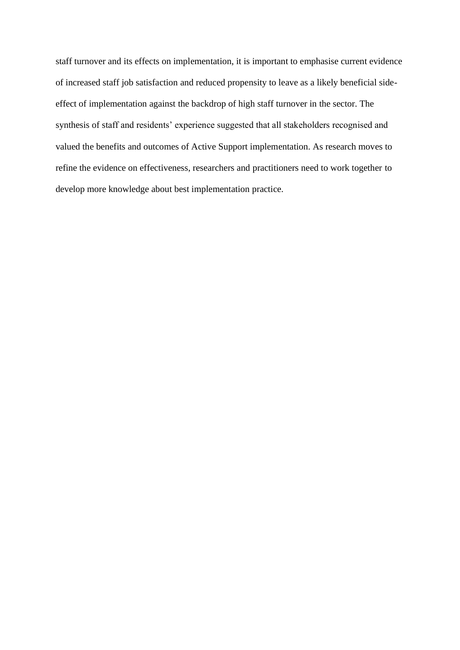staff turnover and its effects on implementation, it is important to emphasise current evidence of increased staff job satisfaction and reduced propensity to leave as a likely beneficial sideeffect of implementation against the backdrop of high staff turnover in the sector. The synthesis of staff and residents' experience suggested that all stakeholders recognised and valued the benefits and outcomes of Active Support implementation. As research moves to refine the evidence on effectiveness, researchers and practitioners need to work together to develop more knowledge about best implementation practice.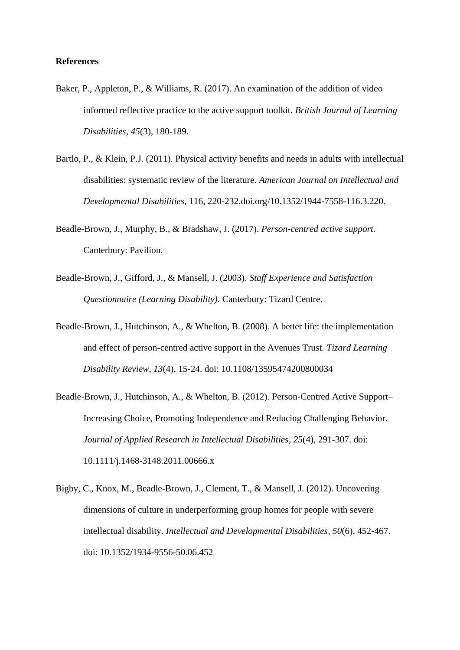### **References**

- Baker, P., Appleton, P., & Williams, R. (2017). An examination of the addition of video informed reflective practice to the active support toolkit. *British Journal of Learning Disabilities*, *45*(3), 180-189.
- Bartlo, P., & Klein, P.J. (2011). Physical activity benefits and needs in adults with intellectual disabilities: systematic review of the literature. *American Journal on Intellectual and Developmental Disabilities,* 116, 220-232.doi.org/10.1352/1944-7558-116.3.220.
- Beadle-Brown, J., Murphy, B., & Bradshaw, J. (2017). *Person-centred active support.* Canterbury: Pavilion.
- Beadle-Brown, J., Gifford, J., & Mansell, J. (2003). *Staff Experience and Satisfaction Questionnaire (Learning Disability).* Canterbury: Tizard Centre.
- Beadle-Brown, J., Hutchinson, A., & Whelton, B. (2008). A better life: the implementation and effect of person-centred active support in the Avenues Trust. *Tizard Learning Disability Review*, *13*(4), 15-24. doi: 10.1108/13595474200800034
- Beadle‐Brown, J., Hutchinson, A., & Whelton, B. (2012). Person‐Centred Active Support– Increasing Choice, Promoting Independence and Reducing Challenging Behavior. *Journal of Applied Research in Intellectual Disabilities*, *25*(4), 291-307. doi: 10.1111/j.1468-3148.2011.00666.x
- Bigby, C., Knox, M., Beadle-Brown, J., Clement, T., & Mansell, J. (2012). Uncovering dimensions of culture in underperforming group homes for people with severe intellectual disability. *Intellectual and Developmental Disabilities*, *50*(6), 452-467. doi: 10.1352/1934-9556-50.06.452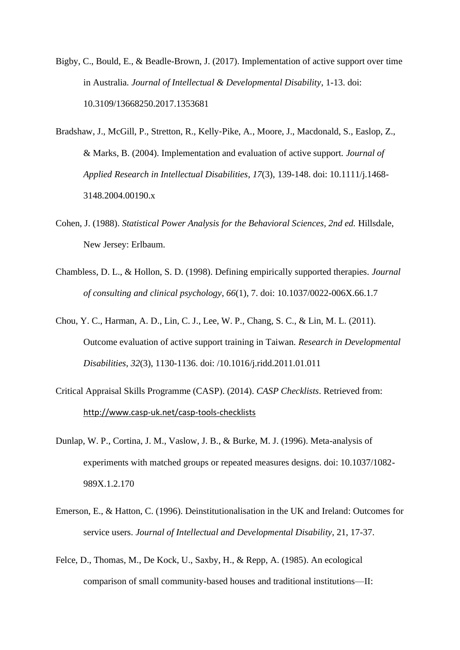- Bigby, C., Bould, E., & Beadle-Brown, J. (2017). Implementation of active support over time in Australia. *Journal of Intellectual & Developmental Disability*, 1-13. doi: 10.3109/13668250.2017.1353681
- Bradshaw, J., McGill, P., Stretton, R., Kelly‐Pike, A., Moore, J., Macdonald, S., Easlop, Z., & Marks, B. (2004). Implementation and evaluation of active support. *Journal of Applied Research in Intellectual Disabilities*, *17*(3), 139-148. doi: 10.1111/j.1468- 3148.2004.00190.x
- Cohen, J. (1988). *Statistical Power Analysis for the Behavioral Sciences, 2nd ed.* Hillsdale, New Jersey: Erlbaum.
- Chambless, D. L., & Hollon, S. D. (1998). Defining empirically supported therapies. *Journal of consulting and clinical psychology*, *66*(1), 7. doi: 10.1037/0022-006X.66.1.7
- Chou, Y. C., Harman, A. D., Lin, C. J., Lee, W. P., Chang, S. C., & Lin, M. L. (2011). Outcome evaluation of active support training in Taiwan. *Research in Developmental Disabilities*, *32*(3), 1130-1136. doi: /10.1016/j.ridd.2011.01.011
- Critical Appraisal Skills Programme (CASP). (2014). *CASP Checklists*. Retrieved from: <http://www.casp-uk.net/casp-tools-checklists>
- Dunlap, W. P., Cortina, J. M., Vaslow, J. B., & Burke, M. J. (1996). Meta-analysis of experiments with matched groups or repeated measures designs. doi: 10.1037/1082- 989X.1.2.170
- Emerson, E., & Hatton, C. (1996). Deinstitutionalisation in the UK and Ireland: Outcomes for service users. *Journal of Intellectual and Developmental Disability*, 21, 17-37.
- Felce, D., Thomas, M., De Kock, U., Saxby, H., & Repp, A. (1985). An ecological comparison of small community-based houses and traditional institutions—II: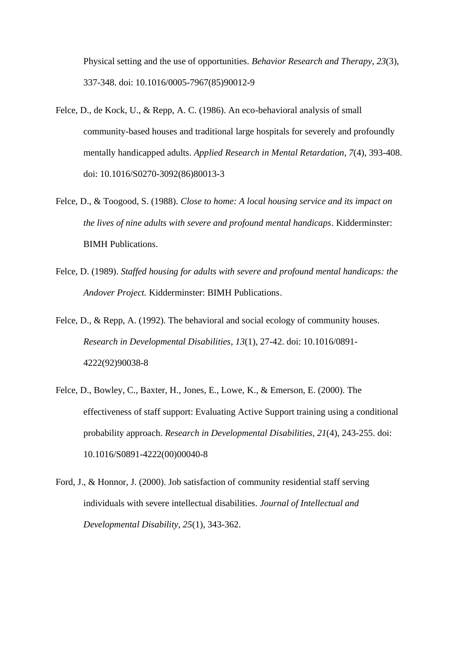Physical setting and the use of opportunities. *Behavior Research and Therapy*, *23*(3), 337-348. doi: 10.1016/0005-7967(85)90012-9

- Felce, D., de Kock, U., & Repp, A. C. (1986). An eco-behavioral analysis of small community-based houses and traditional large hospitals for severely and profoundly mentally handicapped adults. *Applied Research in Mental Retardation*, *7*(4), 393-408. doi: 10.1016/S0270-3092(86)80013-3
- Felce, D., & Toogood, S. (1988). *Close to home: A local housing service and its impact on the lives of nine adults with severe and profound mental handicaps*. Kidderminster: BIMH Publications.
- Felce, D. (1989). *Staffed housing for adults with severe and profound mental handicaps: the Andover Project.* Kidderminster: BIMH Publications.
- Felce, D., & Repp, A. (1992). The behavioral and social ecology of community houses. *Research in Developmental Disabilities*, *13*(1), 27-42. doi: 10.1016/0891- 4222(92)90038-8
- Felce, D., Bowley, C., Baxter, H., Jones, E., Lowe, K., & Emerson, E. (2000). The effectiveness of staff support: Evaluating Active Support training using a conditional probability approach. *Research in Developmental Disabilities*, *21*(4), 243-255. doi: 10.1016/S0891-4222(00)00040-8
- Ford, J., & Honnor, J. (2000). Job satisfaction of community residential staff serving individuals with severe intellectual disabilities. *Journal of Intellectual and Developmental Disability, 25*(1), 343-362.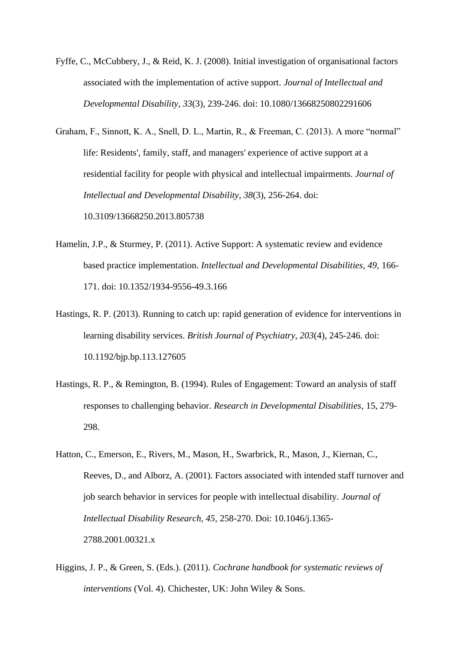- Fyffe, C., McCubbery, J., & Reid, K. J. (2008). Initial investigation of organisational factors associated with the implementation of active support. *Journal of Intellectual and Developmental Disability*, *33*(3), 239-246. doi: 10.1080/13668250802291606
- Graham, F., Sinnott, K. A., Snell, D. L., Martin, R., & Freeman, C. (2013). A more "normal" life: Residents', family, staff, and managers' experience of active support at a residential facility for people with physical and intellectual impairments. *Journal of Intellectual and Developmental Disability*, *38*(3), 256-264. doi: 10.3109/13668250.2013.805738
- Hamelin, J.P., & Sturmey, P. (2011). Active Support: A systematic review and evidence based practice implementation. *Intellectual and Developmental Disabilities, 49,* 166- 171. doi: 10.1352/1934-9556-49.3.166
- Hastings, R. P. (2013). Running to catch up: rapid generation of evidence for interventions in learning disability services. *British Journal of Psychiatry, 203*(4), 245-246. doi: 10.1192/bjp.bp.113.127605
- Hastings, R. P., & Remington, B. (1994). Rules of Engagement: Toward an analysis of staff responses to challenging behavior. *Research in Developmental Disabilities*, 15, 279- 298.
- Hatton, C., Emerson, E., Rivers, M., Mason, H., Swarbrick, R., Mason, J., Kiernan, C., Reeves, D., and Alborz, A. (2001). Factors associated with intended staff turnover and job search behavior in services for people with intellectual disability. *Journal of Intellectual Disability Research, 45,* 258-270. Doi: 10.1046/j.1365- 2788.2001.00321.x
- Higgins, J. P., & Green, S. (Eds.). (2011). *Cochrane handbook for systematic reviews of interventions* (Vol. 4). Chichester, UK: John Wiley & Sons.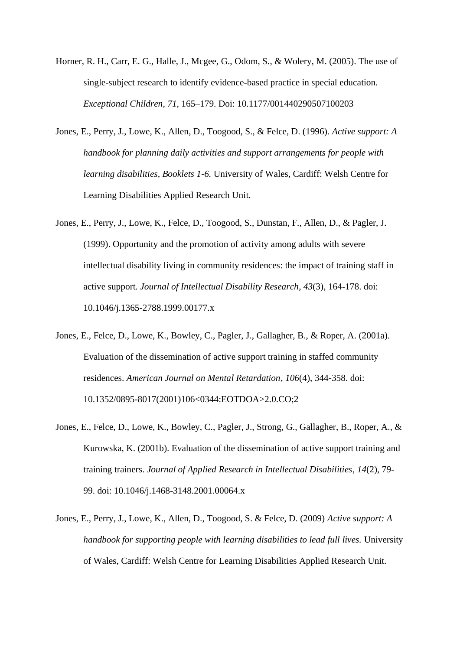- Horner, R. H., Carr, E. G., Halle, J., Mcgee, G., Odom, S., & Wolery, M. (2005). The use of single-subject research to identify evidence-based practice in special education. *Exceptional Children*, *71*, 165–179. Doi: 10.1177/001440290507100203
- Jones, E., Perry, J., Lowe, K., Allen, D., Toogood, S., & Felce, D. (1996). *Active support: A handbook for planning daily activities and support arrangements for people with learning disabilities, Booklets 1-6.* University of Wales, Cardiff: Welsh Centre for Learning Disabilities Applied Research Unit.
- Jones, E., Perry, J., Lowe, K., Felce, D., Toogood, S., Dunstan, F., Allen, D., & Pagler, J. (1999). Opportunity and the promotion of activity among adults with severe intellectual disability living in community residences: the impact of training staff in active support. *Journal of Intellectual Disability Research*, *43*(3), 164-178. doi: 10.1046/j.1365-2788.1999.00177.x
- Jones, E., Felce, D., Lowe, K., Bowley, C., Pagler, J., Gallagher, B., & Roper, A. (2001a). Evaluation of the dissemination of active support training in staffed community residences. *American Journal on Mental Retardation*, *106*(4), 344-358. doi: 10.1352/0895-8017(2001)106<0344:EOTDOA>2.0.CO;2
- Jones, E., Felce, D., Lowe, K., Bowley, C., Pagler, J., Strong, G., Gallagher, B., Roper, A., & Kurowska, K. (2001b). Evaluation of the dissemination of active support training and training trainers. *Journal of Applied Research in Intellectual Disabilities*, *14*(2), 79- 99. doi: 10.1046/j.1468-3148.2001.00064.x
- Jones, E., Perry, J., Lowe, K., Allen, D., Toogood, S. & Felce, D. (2009) *Active support: A handbook for supporting people with learning disabilities to lead full lives.* University of Wales, Cardiff: Welsh Centre for Learning Disabilities Applied Research Unit.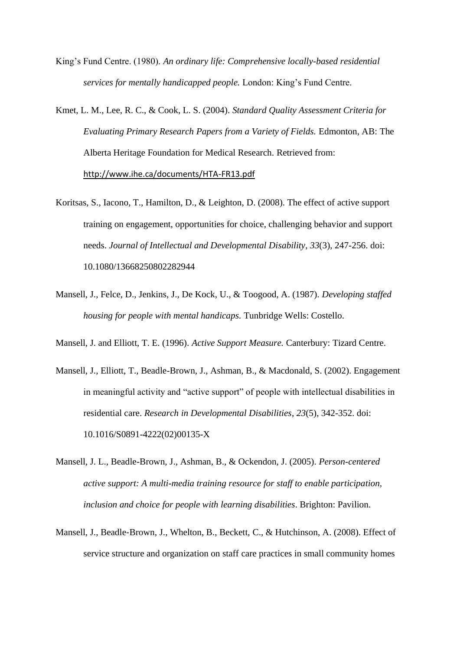- King's Fund Centre. (1980). *An ordinary life: Comprehensive locally-based residential services for mentally handicapped people.* London: King's Fund Centre.
- Kmet, L. M., Lee, R. C., & Cook, L. S. (2004). *Standard Quality Assessment Criteria for Evaluating Primary Research Papers from a Variety of Fields.* Edmonton, AB: The Alberta Heritage Foundation for Medical Research. Retrieved from: <http://www.ihe.ca/documents/HTA-FR13.pdf>
- Koritsas, S., Iacono, T., Hamilton, D., & Leighton, D. (2008). The effect of active support training on engagement, opportunities for choice, challenging behavior and support needs. *Journal of Intellectual and Developmental Disability*, *33*(3), 247-256. doi: 10.1080/13668250802282944
- Mansell, J., Felce, D., Jenkins, J., De Kock, U., & Toogood, A. (1987). *Developing staffed housing for people with mental handicaps.* Tunbridge Wells: Costello.

Mansell, J. and Elliott, T. E. (1996). *Active Support Measure.* Canterbury: Tizard Centre.

- Mansell, J., Elliott, T., Beadle-Brown, J., Ashman, B., & Macdonald, S. (2002). Engagement in meaningful activity and "active support" of people with intellectual disabilities in residential care. *Research in Developmental Disabilities*, *23*(5), 342-352. doi: 10.1016/S0891-4222(02)00135-X
- Mansell, J. L., Beadle-Brown, J., Ashman, B., & Ockendon, J. (2005). *Person-centered active support: A multi-media training resource for staff to enable participation, inclusion and choice for people with learning disabilities*. Brighton: Pavilion.
- Mansell, J., Beadle‐Brown, J., Whelton, B., Beckett, C., & Hutchinson, A. (2008). Effect of service structure and organization on staff care practices in small community homes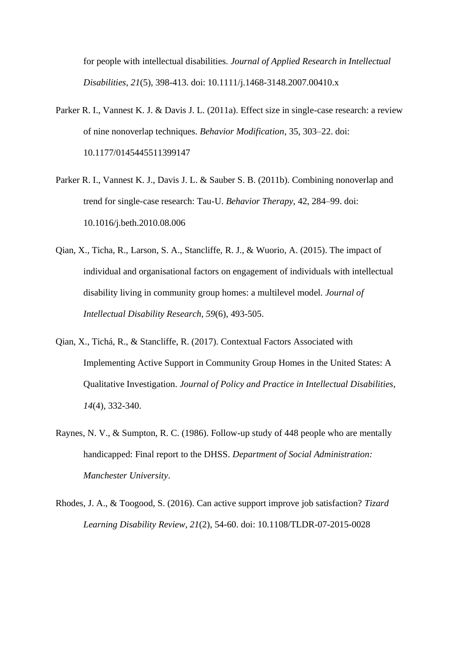for people with intellectual disabilities. *Journal of Applied Research in Intellectual Disabilities*, *21*(5), 398-413. doi: 10.1111/j.1468-3148.2007.00410.x

- Parker R. I., Vannest K. J. & Davis J. L. (2011a). Effect size in single-case research: a review of nine nonoverlap techniques. *Behavior Modification*, 35, 303–22. doi: 10.1177/0145445511399147
- Parker R. I., Vannest K. J., Davis J. L. & Sauber S. B. (2011b). Combining nonoverlap and trend for single-case research: Tau-U. *Behavior Therapy,* 42, 284–99. doi: 10.1016/j.beth.2010.08.006
- Qian, X., Ticha, R., Larson, S. A., Stancliffe, R. J., & Wuorio, A. (2015). The impact of individual and organisational factors on engagement of individuals with intellectual disability living in community group homes: a multilevel model. *Journal of Intellectual Disability Research*, *59*(6), 493-505.
- Qian, X., Tichá, R., & Stancliffe, R. (2017). Contextual Factors Associated with Implementing Active Support in Community Group Homes in the United States: A Qualitative Investigation. *Journal of Policy and Practice in Intellectual Disabilities*, *14*(4), 332-340.
- Raynes, N. V., & Sumpton, R. C. (1986). Follow-up study of 448 people who are mentally handicapped: Final report to the DHSS. *Department of Social Administration: Manchester University*.
- Rhodes, J. A., & Toogood, S. (2016). Can active support improve job satisfaction? *Tizard Learning Disability Review*, *21*(2), 54-60. doi: 10.1108/TLDR-07-2015-0028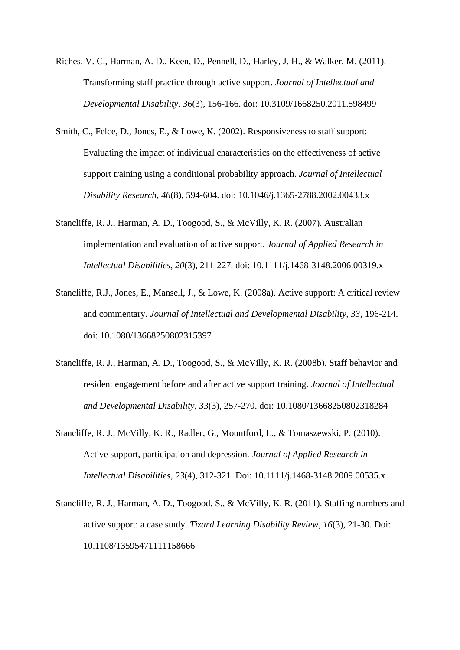- Riches, V. C., Harman, A. D., Keen, D., Pennell, D., Harley, J. H., & Walker, M. (2011). Transforming staff practice through active support. *Journal of Intellectual and Developmental Disability*, *36*(3), 156-166. doi: 10.3109/1668250.2011.598499
- Smith, C., Felce, D., Jones, E., & Lowe, K. (2002). Responsiveness to staff support: Evaluating the impact of individual characteristics on the effectiveness of active support training using a conditional probability approach. *Journal of Intellectual Disability Research*, *46*(8), 594-604. doi: 10.1046/j.1365-2788.2002.00433.x
- Stancliffe, R. J., Harman, A. D., Toogood, S., & McVilly, K. R. (2007). Australian implementation and evaluation of active support. *Journal of Applied Research in Intellectual Disabilities*, *20*(3), 211-227. doi: 10.1111/j.1468-3148.2006.00319.x
- Stancliffe, R.J., Jones, E., Mansell, J., & Lowe, K. (2008a). Active support: A critical review and commentary. *Journal of Intellectual and Developmental Disability, 33*, 196-214. doi: 10.1080/13668250802315397
- Stancliffe, R. J., Harman, A. D., Toogood, S., & McVilly, K. R. (2008b). Staff behavior and resident engagement before and after active support training. *Journal of Intellectual and Developmental Disability*, *33*(3), 257-270. doi: 10.1080/13668250802318284
- Stancliffe, R. J., McVilly, K. R., Radler, G., Mountford, L., & Tomaszewski, P. (2010). Active support, participation and depression. *Journal of Applied Research in Intellectual Disabilities*, *23*(4), 312-321. Doi: 10.1111/j.1468-3148.2009.00535.x
- Stancliffe, R. J., Harman, A. D., Toogood, S., & McVilly, K. R. (2011). Staffing numbers and active support: a case study. *Tizard Learning Disability Review*, *16*(3), 21-30. Doi: 10.1108/13595471111158666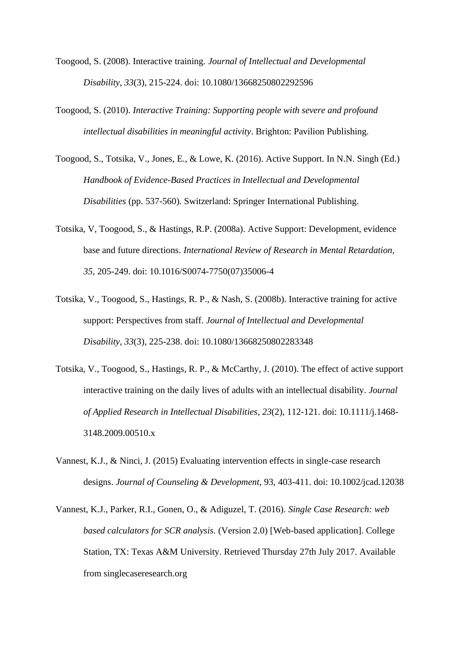- Toogood, S. (2008). Interactive training. *Journal of Intellectual and Developmental Disability*, *33*(3), 215-224. doi: 10.1080/13668250802292596
- Toogood, S. (2010). *Interactive Training: Supporting people with severe and profound intellectual disabilities in meaningful activity*. Brighton: Pavilion Publishing.
- Toogood, S., Totsika, V., Jones, E., & Lowe, K. (2016). Active Support. In N.N. Singh (Ed.) *Handbook of Evidence-Based Practices in Intellectual and Developmental Disabilities* (pp. 537-560)*.* Switzerland: Springer International Publishing.
- Totsika, V, Toogood, S., & Hastings, R.P. (2008a). Active Support: Development, evidence base and future directions. *International Review of Research in Mental Retardation, 35*, 205-249. doi: 10.1016/S0074-7750(07)35006-4
- Totsika, V., Toogood, S., Hastings, R. P., & Nash, S. (2008b). Interactive training for active support: Perspectives from staff. *Journal of Intellectual and Developmental Disability*, *33*(3), 225-238. doi: 10.1080/13668250802283348
- Totsika, V., Toogood, S., Hastings, R. P., & McCarthy, J. (2010). The effect of active support interactive training on the daily lives of adults with an intellectual disability. *Journal of Applied Research in Intellectual Disabilities*, *23*(2), 112-121. doi: 10.1111/j.1468- 3148.2009.00510.x
- Vannest, K.J., & Ninci, J. (2015) Evaluating intervention effects in single-case research designs. *Journal of Counseling & Development*, 93, 403-411. doi: 10.1002/jcad.12038
- Vannest, K.J., Parker, R.I., Gonen, O., & Adiguzel, T. (2016). *Single Case Research: web based calculators for SCR analysis.* (Version 2.0) [Web-based application]. College Station, TX: Texas A&M University. Retrieved Thursday 27th July 2017. Available from singlecaseresearch.org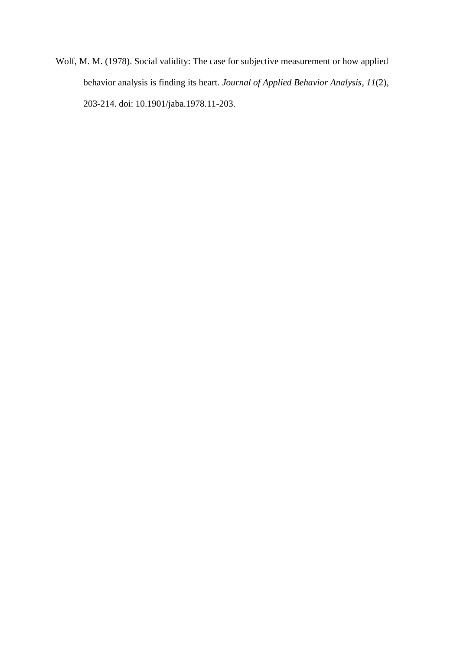Wolf, M. M. (1978). Social validity: The case for subjective measurement or how applied behavior analysis is finding its heart. *Journal of Applied Behavior Analysis*, *11*(2), 203-214. doi: 10.1901/jaba.1978.11-203.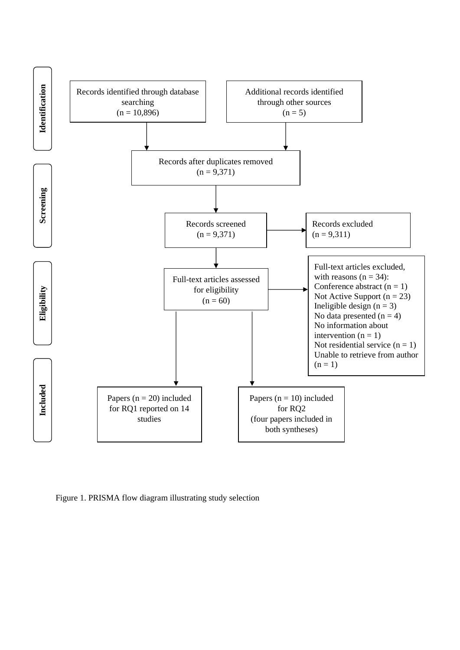

Figure 1. PRISMA flow diagram illustrating study selection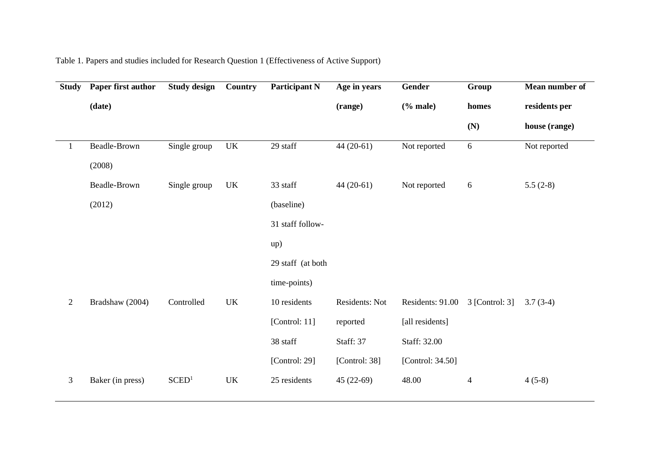| <b>Study</b>   | Paper first author | <b>Study design</b> | Country                           | <b>Participant N</b> | Age in years   | Gender           | Group            | Mean number of |
|----------------|--------------------|---------------------|-----------------------------------|----------------------|----------------|------------------|------------------|----------------|
|                | (date)             |                     |                                   |                      | (range)        | $%$ male)        | homes            | residents per  |
|                |                    |                     |                                   |                      |                |                  | (N)              | house (range)  |
| 1              | Beadle-Brown       | Single group        | $\ensuremath{\mathrm{UK}}\xspace$ | 29 staff             | $44(20-61)$    | Not reported     | 6                | Not reported   |
|                | (2008)             |                     |                                   |                      |                |                  |                  |                |
|                | Beadle-Brown       | Single group        | <b>UK</b>                         | 33 staff             | $44(20-61)$    | Not reported     | $\boldsymbol{6}$ | $5.5(2-8)$     |
|                | (2012)             |                     |                                   | (baseline)           |                |                  |                  |                |
|                |                    |                     |                                   | 31 staff follow-     |                |                  |                  |                |
|                |                    |                     |                                   | up)                  |                |                  |                  |                |
|                |                    |                     |                                   | 29 staff (at both    |                |                  |                  |                |
|                |                    |                     |                                   | time-points)         |                |                  |                  |                |
| $\overline{2}$ | Bradshaw (2004)    | Controlled          | <b>UK</b>                         | 10 residents         | Residents: Not | Residents: 91.00 | $3$ [Control: 3] | $3.7(3-4)$     |
|                |                    |                     |                                   | [Control: 11]        | reported       | [all residents]  |                  |                |
|                |                    |                     |                                   | 38 staff             | Staff: 37      | Staff: 32.00     |                  |                |
|                |                    |                     |                                   | [Control: 29]        | [Control: 38]  | [Control: 34.50] |                  |                |
| $\mathfrak{Z}$ | Baker (in press)   | SCED <sup>1</sup>   | <b>UK</b>                         | 25 residents         | $45(22-69)$    | 48.00            | $\overline{4}$   | $4(5-8)$       |
|                |                    |                     |                                   |                      |                |                  |                  |                |

Table 1. Papers and studies included for Research Question 1 (Effectiveness of Active Support)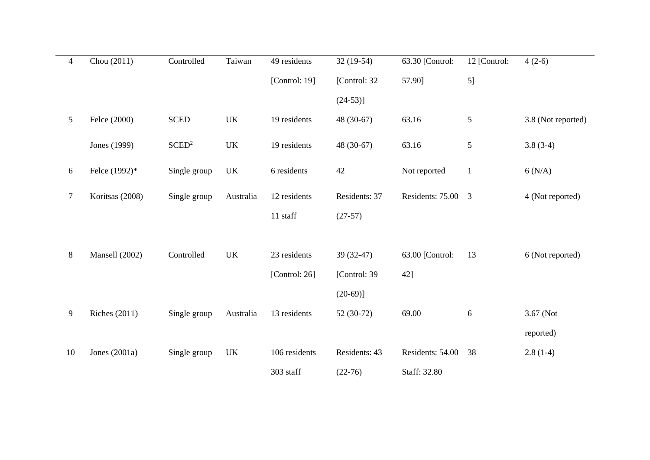| $\overline{4}$ | Chou $(2011)$        | Controlled        | Taiwan    | 49 residents  | $32(19-54)$   | 63.30 [Control:  | 12 [Control:   | $4(2-6)$           |
|----------------|----------------------|-------------------|-----------|---------------|---------------|------------------|----------------|--------------------|
|                |                      |                   |           | [Control: 19] | [Control: 32  | 57.90]           | 5]             |                    |
|                |                      |                   |           |               | $(24-53)$ ]   |                  |                |                    |
| 5              | Felce (2000)         | <b>SCED</b>       | UK        | 19 residents  | 48 (30-67)    | 63.16            | 5              | 3.8 (Not reported) |
|                | Jones (1999)         | SCED <sup>2</sup> | <b>UK</b> | 19 residents  | 48 (30-67)    | 63.16            | 5              | $3.8(3-4)$         |
| $\sqrt{6}$     | Felce (1992)*        | Single group      | UK        | 6 residents   | 42            | Not reported     | $\mathbf{1}$   | 6(N/A)             |
| $\overline{7}$ | Koritsas (2008)      | Single group      | Australia | 12 residents  | Residents: 37 | Residents: 75.00 | $\overline{3}$ | 4 (Not reported)   |
|                |                      |                   |           | 11 staff      | $(27-57)$     |                  |                |                    |
|                |                      |                   |           |               |               |                  |                |                    |
| $8\,$          | Mansell (2002)       | Controlled        | UK        | 23 residents  | 39 (32-47)    | 63.00 [Control:  | 13             | 6 (Not reported)   |
|                |                      |                   |           | [Control: 26] | [Control: 39  | 42]              |                |                    |
|                |                      |                   |           |               | $(20-69)$ ]   |                  |                |                    |
| 9              | <b>Riches</b> (2011) | Single group      | Australia | 13 residents  | 52 (30-72)    | 69.00            | 6              | 3.67 (Not          |
|                |                      |                   |           |               |               |                  |                | reported)          |
| 10             | Jones $(2001a)$      | Single group      | UK        | 106 residents | Residents: 43 | Residents: 54.00 | 38             | $2.8(1-4)$         |
|                |                      |                   |           | 303 staff     | $(22-76)$     | Staff: 32.80     |                |                    |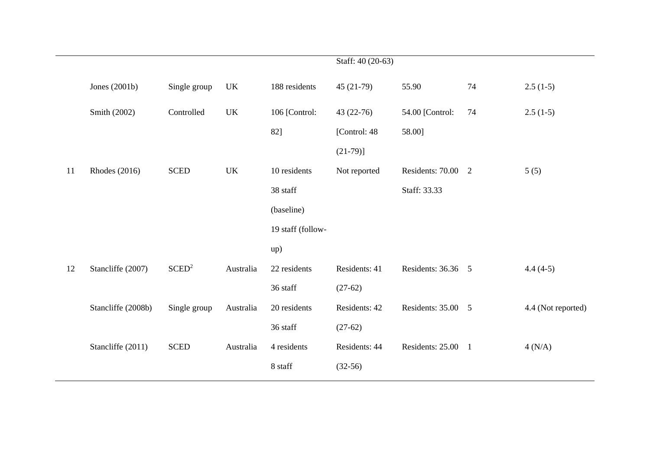|    |                      |                   |                                   |                   | Staff: 40 (20-63) |                    |    |                    |
|----|----------------------|-------------------|-----------------------------------|-------------------|-------------------|--------------------|----|--------------------|
|    | Jones $(2001b)$      | Single group      | UK                                | 188 residents     | $45(21-79)$       | 55.90              | 74 | $2.5(1-5)$         |
|    | Smith (2002)         | Controlled        | $\ensuremath{\mathrm{UK}}\xspace$ | 106 [Control:     | $43(22-76)$       | 54.00 [Control:    | 74 | $2.5(1-5)$         |
|    |                      |                   |                                   | 82]               | [Control: 48]     | 58.00]             |    |                    |
|    |                      |                   |                                   |                   | $(21-79)$ ]       |                    |    |                    |
| 11 | <b>Rhodes</b> (2016) | <b>SCED</b>       | $\ensuremath{\text{UK}}\xspace$   | 10 residents      | Not reported      | Residents: 70.00 2 |    | 5(5)               |
|    |                      |                   |                                   | 38 staff          |                   | Staff: 33.33       |    |                    |
|    |                      |                   |                                   | (baseline)        |                   |                    |    |                    |
|    |                      |                   |                                   | 19 staff (follow- |                   |                    |    |                    |
|    |                      |                   |                                   | up)               |                   |                    |    |                    |
| 12 | Stancliffe (2007)    | SCED <sup>2</sup> | Australia                         | 22 residents      | Residents: 41     | Residents: 36.36 5 |    | $4.4(4-5)$         |
|    |                      |                   |                                   | 36 staff          | $(27-62)$         |                    |    |                    |
|    | Stancliffe (2008b)   | Single group      | Australia                         | 20 residents      | Residents: 42     | Residents: 35.00 5 |    | 4.4 (Not reported) |
|    |                      |                   |                                   | 36 staff          | $(27-62)$         |                    |    |                    |
|    | Stancliffe (2011)    | <b>SCED</b>       | Australia                         | 4 residents       | Residents: 44     | Residents: 25.00 1 |    | 4(N/A)             |
|    |                      |                   |                                   | 8 staff           | $(32-56)$         |                    |    |                    |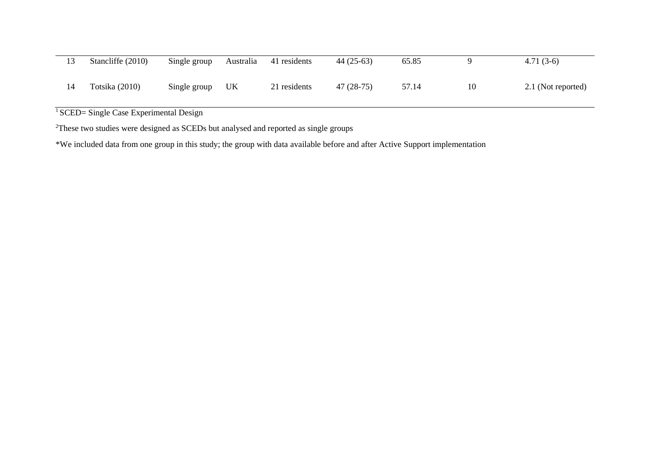|    | Stancliffe (2010) | Single group | Australia | 41 residents | $44(25-63)$ | 65.85 |    | $4.71(3-6)$        |
|----|-------------------|--------------|-----------|--------------|-------------|-------|----|--------------------|
| 14 | Totsika (2010)    | Single group | UK        | 21 residents | $47(28-75)$ | 57.14 | 10 | 2.1 (Not reported) |

<sup>1</sup> SCED= Single Case Experimental Design

<sup>2</sup>These two studies were designed as SCEDs but analysed and reported as single groups

\*We included data from one group in this study; the group with data available before and after Active Support implementation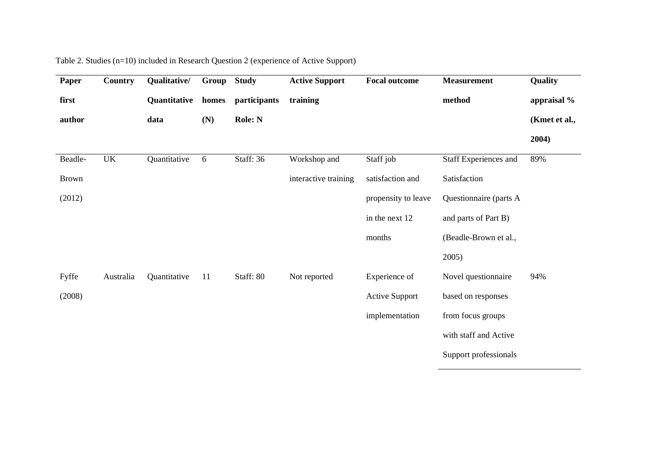| Paper        | <b>Country</b> | Qualitative/ | Group | <b>Study</b> | <b>Active Support</b> | <b>Focal outcome</b>  | <b>Measurement</b>     | Quality       |
|--------------|----------------|--------------|-------|--------------|-----------------------|-----------------------|------------------------|---------------|
| first        |                | Quantitative | homes | participants | training              |                       | method                 | appraisal %   |
| author       |                | data         | (N)   | Role: N      |                       |                       |                        | (Kmet et al., |
|              |                |              |       |              |                       |                       |                        | 2004)         |
| Beadle-      | UK             | Quantitative | 6     | Staff: 36    | Workshop and          | Staff job             | Staff Experiences and  | 89%           |
| <b>Brown</b> |                |              |       |              | interactive training  | satisfaction and      | Satisfaction           |               |
| (2012)       |                |              |       |              |                       | propensity to leave   | Questionnaire (parts A |               |
|              |                |              |       |              |                       | in the next 12        | and parts of Part B)   |               |
|              |                |              |       |              |                       | months                | (Beadle-Brown et al.,  |               |
|              |                |              |       |              |                       |                       | 2005)                  |               |
| Fyffe        | Australia      | Quantitative | 11    | Staff: 80    | Not reported          | Experience of         | Novel questionnaire    | 94%           |
| (2008)       |                |              |       |              |                       | <b>Active Support</b> | based on responses     |               |
|              |                |              |       |              |                       | implementation        | from focus groups      |               |
|              |                |              |       |              |                       |                       | with staff and Active  |               |
|              |                |              |       |              |                       |                       | Support professionals  |               |

# Table 2. Studies (n=10) included in Research Question 2 (experience of Active Support)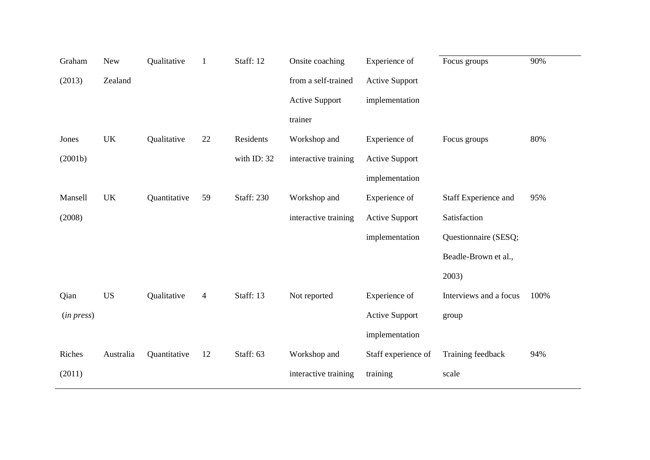| Graham     | <b>New</b>                        | Qualitative  | $\mathbf{1}$   | Staff: 12         | Onsite coaching       | Experience of         | Focus groups           | 90%  |
|------------|-----------------------------------|--------------|----------------|-------------------|-----------------------|-----------------------|------------------------|------|
| (2013)     | Zealand                           |              |                |                   | from a self-trained   | <b>Active Support</b> |                        |      |
|            |                                   |              |                |                   | <b>Active Support</b> | implementation        |                        |      |
|            |                                   |              |                |                   | trainer               |                       |                        |      |
| Jones      | $\ensuremath{\mathrm{UK}}\xspace$ | Qualitative  | 22             | Residents         | Workshop and          | Experience of         | Focus groups           | 80%  |
| (2001b)    |                                   |              |                | with ID: 32       | interactive training  | <b>Active Support</b> |                        |      |
|            |                                   |              |                |                   |                       | implementation        |                        |      |
| Mansell    | <b>UK</b>                         | Quantitative | 59             | <b>Staff: 230</b> | Workshop and          | Experience of         | Staff Experience and   | 95%  |
| (2008)     |                                   |              |                |                   | interactive training  | <b>Active Support</b> | Satisfaction           |      |
|            |                                   |              |                |                   |                       | implementation        | Questionnaire (SESQ;   |      |
|            |                                   |              |                |                   |                       |                       | Beadle-Brown et al.,   |      |
|            |                                   |              |                |                   |                       |                       | 2003)                  |      |
| Qian       | <b>US</b>                         | Qualitative  | $\overline{4}$ | Staff: 13         | Not reported          | Experience of         | Interviews and a focus | 100% |
| (in press) |                                   |              |                |                   |                       | <b>Active Support</b> | group                  |      |
|            |                                   |              |                |                   |                       | implementation        |                        |      |
| Riches     | Australia                         | Quantitative | 12             | Staff: 63         | Workshop and          | Staff experience of   | Training feedback      | 94%  |
| (2011)     |                                   |              |                |                   | interactive training  | training              | scale                  |      |
|            |                                   |              |                |                   |                       |                       |                        |      |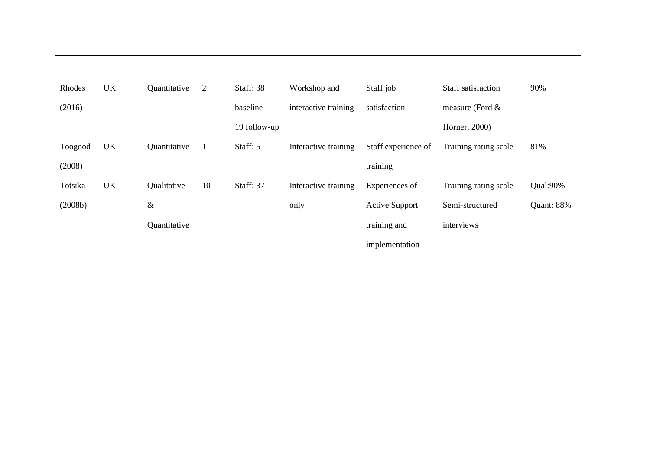| Rhodes  | UK | Quantitative | 2  | Staff: 38    | Workshop and         | Staff job             | Staff satisfaction    | 90%        |
|---------|----|--------------|----|--------------|----------------------|-----------------------|-----------------------|------------|
| (2016)  |    |              |    | baseline     | interactive training | satisfaction          | measure (Ford $\&$    |            |
|         |    |              |    | 19 follow-up |                      |                       | Horner, 2000)         |            |
| Toogood | UK | Quantitative | 1  | Staff: 5     | Interactive training | Staff experience of   | Training rating scale | 81%        |
| (2008)  |    |              |    |              |                      | training              |                       |            |
| Totsika | UK | Qualitative  | 10 | Staff: 37    | Interactive training | Experiences of        | Training rating scale | Qual:90%   |
| (2008b) |    | $\&$         |    |              | only                 | <b>Active Support</b> | Semi-structured       | Quant: 88% |
|         |    | Quantitative |    |              |                      | training and          | interviews            |            |
|         |    |              |    |              |                      | implementation        |                       |            |
|         |    |              |    |              |                      |                       |                       |            |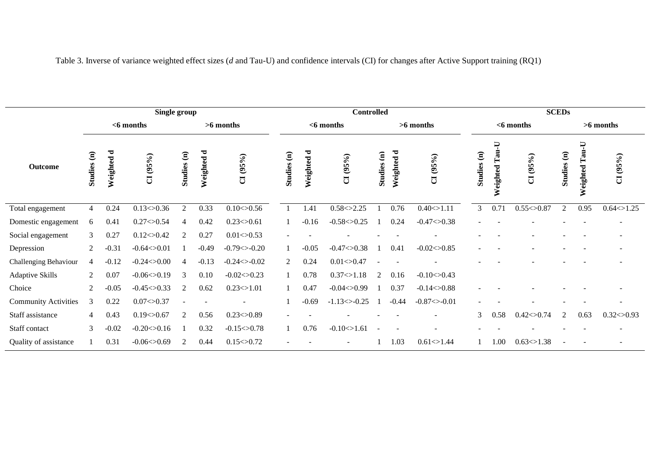|                             |                |                             | Single group     |                |            |                  | <b>Controlled</b> |                             |                   |             |            |                 |              | <b>SCEDs</b>  |                  |                |                                   |                |  |
|-----------------------------|----------------|-----------------------------|------------------|----------------|------------|------------------|-------------------|-----------------------------|-------------------|-------------|------------|-----------------|--------------|---------------|------------------|----------------|-----------------------------------|----------------|--|
|                             |                | $<$ 6 months<br>$>6$ months |                  |                |            |                  |                   | $<$ 6 months<br>$>6$ months |                   |             |            |                 | $<$ 6 months |               |                  |                | $>6$ months                       |                |  |
| <b>Outcome</b>              | Studies (n)    | Weighted d                  | CI(95%)          | Studies (n)    | Weighted d | CI(95%)          | Studies (n)       | Weighted d                  | CI(95%)           | Studies (n) | Weighted d | CI(95%)         | Studies (n)  | F<br>Weighted | CI(95%)          | Studies (n)    | $\overline{U}$<br>Tau<br>Weighted | CI(95%)        |  |
| Total engagement            | $\overline{4}$ | 0.24                        | 0.13<>0.36       | $\mathfrak{2}$ | 0.33       | 0.10<>0.56       |                   | 1.41                        | 0.58 < > 2.25     |             | 0.76       | 0.40<>1.11      | 3            | 0.71          | 0.55 < 0.87      | $\overline{2}$ | 0.95                              | 0.64<>1.25     |  |
| Domestic engagement         | 6              | 0.41                        | 0.27 < 0.54      | $\overline{4}$ | 0.42       | 0.23<0.61        |                   | $-0.16$                     | $-0.58 < 0.25$    |             | 0.24       | $-0.47 < 0.38$  |              |               |                  |                |                                   |                |  |
| Social engagement           | 3              | 0.27                        | 0.12<>0.42       | 2              | 0.27       | $0.01 \le 0.53$  |                   |                             |                   |             |            |                 |              |               |                  |                |                                   |                |  |
| Depression                  | $\overline{2}$ | $-0.31$                     | $-0.64 < 0.01$   |                | $-0.49$    | $-0.79 < -0.20$  |                   | $-0.05$                     | $-0.47 < 0.38$    |             | 0.41       | $-0.02 < 0.85$  |              |               |                  |                |                                   |                |  |
| Challenging Behaviour       | $\overline{4}$ | $-0.12$                     | $-0.24 < 0.00$   | $\overline{4}$ | $-0.13$    | $-0.24 < -0.02$  | 2                 | 0.24                        | 0.01 < > 0.47     |             |            |                 |              |               |                  |                |                                   |                |  |
| <b>Adaptive Skills</b>      | 2              | 0.07                        | $-0.06<0.19$     | 3              | 0.10       | $-0.02 < 0.23$   | $\mathbf{1}$      | 0.78                        | 0.37 < > 1.18     | 2           | 0.16       | $-0.10 < 0.43$  |              |               |                  |                |                                   |                |  |
| Choice                      | 2              | $-0.05$                     | $-0.45 < 0.33$   | 2              | 0.62       | $0.23 \leq 1.01$ | $\mathbf{1}$      | 0.47                        | $-0.04 < 0.99$    |             | 0.37       | $-0.14 < 0.88$  |              |               |                  |                |                                   |                |  |
| <b>Community Activities</b> | 3              | 0.22                        | 0.07<>0.37       |                |            |                  |                   | $-0.69$                     | $-1.13 \le -0.25$ |             | $-0.44$    | $-0.87 < -0.01$ |              |               |                  |                |                                   |                |  |
| Staff assistance            | $\overline{4}$ | 0.43                        | 0.19<>0.67       | 2              | 0.56       | $0.23 \leq 0.89$ |                   |                             |                   |             |            |                 | 3            | 0.58          | 0.42<>0.74       | 2              | 0.63                              | $0.32<$ > 0.93 |  |
| Staff contact               | 3              | $-0.02$                     | $-0.20 \le 0.16$ |                | 0.32       | $-0.15 < 0.78$   |                   | 0.76                        | $-0.10<1.61$      |             |            |                 |              |               |                  |                |                                   |                |  |
| Quality of assistance       |                | 0.31                        | $-0.06<0.69$     | 2              | 0.44       | $0.15 \leq 0.72$ |                   |                             |                   |             | 1.03       | 0.61 < > 1.44   |              | 00.1          | $0.63 \leq 1.38$ |                |                                   |                |  |

Table 3. Inverse of variance weighted effect sizes (*d* and Tau-U) and confidence intervals (CI) for changes after Active Support training (RQ1)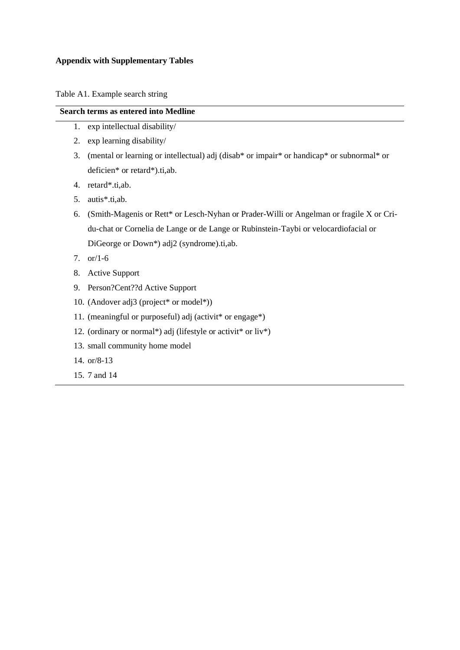#### **Appendix with Supplementary Tables**

Table A1. Example search string

# **Search terms as entered into Medline**

- 1. exp intellectual disability/
- 2. exp learning disability/
- 3. (mental or learning or intellectual) adj (disab\* or impair\* or handicap\* or subnormal\* or deficien\* or retard\*).ti,ab.
- 4. retard\*.ti,ab.
- 5. autis\*.ti,ab.
- 6. (Smith-Magenis or Rett\* or Lesch-Nyhan or Prader-Willi or Angelman or fragile X or Cridu-chat or Cornelia de Lange or de Lange or Rubinstein-Taybi or velocardiofacial or DiGeorge or Down\*) adj2 (syndrome).ti,ab.
- 7. or/1-6
- 8. Active Support
- 9. Person?Cent??d Active Support
- 10. (Andover adj3 (project\* or model\*))
- 11. (meaningful or purposeful) adj (activit\* or engage\*)
- 12. (ordinary or normal\*) adj (lifestyle or activit\* or liv\*)
- 13. small community home model
- 14. or/8-13
- 15. 7 and 14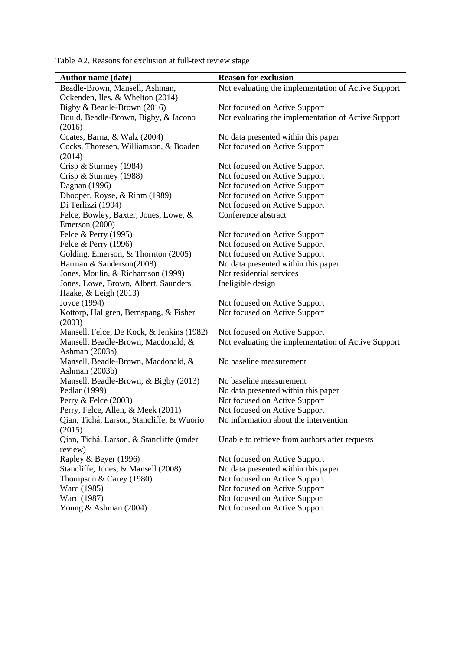Table A2. Reasons for exclusion at full-text review stage

| <b>Author name (date)</b>                             | <b>Reason for exclusion</b>                         |
|-------------------------------------------------------|-----------------------------------------------------|
| Beadle-Brown, Mansell, Ashman,                        | Not evaluating the implementation of Active Support |
| Ockenden, Iles, & Whelton (2014)                      |                                                     |
| Bigby & Beadle-Brown (2016)                           | Not focused on Active Support                       |
| Bould, Beadle-Brown, Bigby, & Iacono                  | Not evaluating the implementation of Active Support |
| (2016)                                                |                                                     |
| Coates, Barna, & Walz (2004)                          | No data presented within this paper                 |
| Cocks, Thoresen, Williamson, & Boaden                 | Not focused on Active Support                       |
| (2014)                                                |                                                     |
| Crisp & Sturmey (1984)                                | Not focused on Active Support                       |
| Crisp & Sturmey $(1988)$                              | Not focused on Active Support                       |
| Dagnan (1996)                                         | Not focused on Active Support                       |
| Dhooper, Royse, & Rihm (1989)                         | Not focused on Active Support                       |
| Di Terlizzi (1994)                                    | Not focused on Active Support                       |
| Felce, Bowley, Baxter, Jones, Lowe, &                 | Conference abstract                                 |
| Emerson (2000)                                        |                                                     |
| Felce & Perry (1995)                                  | Not focused on Active Support                       |
| Felce & Perry (1996)                                  | Not focused on Active Support                       |
| Golding, Emerson, & Thornton (2005)                   | Not focused on Active Support                       |
| Harman & Sanderson(2008)                              | No data presented within this paper                 |
| Jones, Moulin, & Richardson (1999)                    | Not residential services                            |
| Jones, Lowe, Brown, Albert, Saunders,                 | Ineligible design                                   |
| Haake, & Leigh (2013)                                 |                                                     |
| Joyce (1994)                                          | Not focused on Active Support                       |
| Kottorp, Hallgren, Bernspang, & Fisher                | Not focused on Active Support                       |
| (2003)                                                |                                                     |
| Mansell, Felce, De Kock, & Jenkins (1982)             | Not focused on Active Support                       |
| Mansell, Beadle-Brown, Macdonald, &                   | Not evaluating the implementation of Active Support |
| Ashman (2003a)                                        |                                                     |
| Mansell, Beadle-Brown, Macdonald, &<br>Ashman (2003b) | No baseline measurement                             |
| Mansell, Beadle-Brown, & Bigby (2013)                 | No baseline measurement                             |
| Pedlar (1999)                                         | No data presented within this paper                 |
| Perry & Felce (2003)                                  | Not focused on Active Support                       |
| Perry, Felce, Allen, & Meek (2011)                    | Not focused on Active Support                       |
| Qian, Tichá, Larson, Stancliffe, & Wuorio             | No information about the intervention               |
| (2015)                                                |                                                     |
| Qian, Tichá, Larson, & Stancliffe (under              | Unable to retrieve from authors after requests      |
| review)                                               |                                                     |
| Rapley & Beyer (1996)                                 | Not focused on Active Support                       |
| Stancliffe, Jones, & Mansell (2008)                   | No data presented within this paper                 |
| Thompson & Carey (1980)                               | Not focused on Active Support                       |
| Ward (1985)                                           | Not focused on Active Support                       |
| Ward (1987)                                           | Not focused on Active Support                       |
| Young & Ashman (2004)                                 | Not focused on Active Support                       |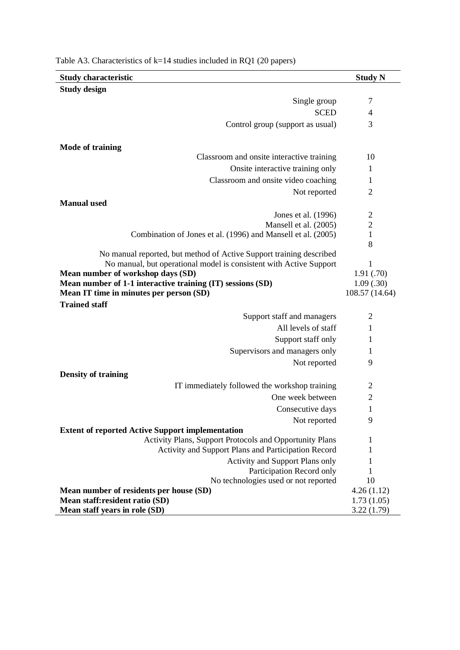| <b>Study characteristic</b>                                                                                        | <b>Study N</b>         |
|--------------------------------------------------------------------------------------------------------------------|------------------------|
| <b>Study design</b>                                                                                                |                        |
| Single group                                                                                                       | 7                      |
| <b>SCED</b>                                                                                                        | 4                      |
| Control group (support as usual)                                                                                   | 3                      |
|                                                                                                                    |                        |
| <b>Mode of training</b>                                                                                            |                        |
| Classroom and onsite interactive training                                                                          | 10                     |
| Onsite interactive training only                                                                                   | 1                      |
| Classroom and onsite video coaching                                                                                | 1                      |
| Not reported                                                                                                       | $\overline{2}$         |
| <b>Manual</b> used                                                                                                 |                        |
| Jones et al. (1996)                                                                                                | $\overline{2}$         |
| Mansell et al. (2005)                                                                                              | $\mathbf 2$            |
| Combination of Jones et al. (1996) and Mansell et al. (2005)                                                       | $\mathbf{1}$           |
|                                                                                                                    | 8                      |
| No manual reported, but method of Active Support training described                                                |                        |
| No manual, but operational model is consistent with Active Support                                                 | 1                      |
| Mean number of workshop days (SD)<br>Mean number of 1-1 interactive training (IT) sessions (SD)                    | 1.91(.70)<br>1.09(.30) |
| Mean IT time in minutes per person (SD)                                                                            | 108.57 (14.64)         |
| <b>Trained staff</b>                                                                                               |                        |
| Support staff and managers                                                                                         | 2                      |
| All levels of staff                                                                                                | 1                      |
| Support staff only                                                                                                 | 1                      |
|                                                                                                                    | 1                      |
| Supervisors and managers only                                                                                      |                        |
| Not reported                                                                                                       | 9                      |
| <b>Density of training</b>                                                                                         |                        |
| IT immediately followed the workshop training                                                                      | 2                      |
| One week between                                                                                                   | $\overline{2}$         |
| Consecutive days                                                                                                   | 1                      |
| Not reported                                                                                                       | 9                      |
| <b>Extent of reported Active Support implementation</b><br>Activity Plans, Support Protocols and Opportunity Plans | 1                      |
| Activity and Support Plans and Participation Record                                                                | 1                      |
| <b>Activity and Support Plans only</b>                                                                             | 1                      |
| Participation Record only                                                                                          | 1                      |
| No technologies used or not reported                                                                               | 10                     |
| Mean number of residents per house (SD)                                                                            | 4.26(1.12)             |
| Mean staff:resident ratio (SD)                                                                                     | 1.73(1.05)             |
| Mean staff years in role (SD)                                                                                      | 3.22(1.79)             |

Table A3. Characteristics of k=14 studies included in RQ1 (20 papers)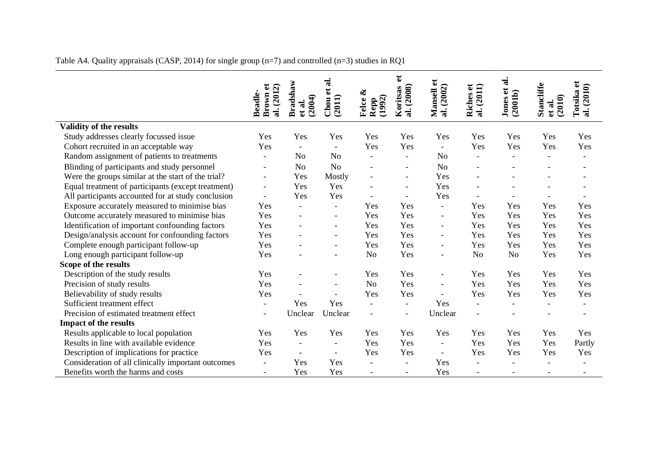|                                                    |                                  |                              | ನ                        |                                | đ                        |                          | $\mathbf{e}$             | $\vec{a}$<br>đ      |                                       | J                        |
|----------------------------------------------------|----------------------------------|------------------------------|--------------------------|--------------------------------|--------------------------|--------------------------|--------------------------|---------------------|---------------------------------------|--------------------------|
|                                                    | (2012)                           |                              | $\mathbf{e}$             | ళ                              |                          |                          | (2011)                   |                     |                                       |                          |
|                                                    | Brown et<br><b>Beadle-</b><br>ನ. | Bradshaw<br>(2004)<br>et al. | (2011)<br>Chou           | Repp<br>(1992)<br><b>Felce</b> | Koritsas<br>al. (2008)   | Mansell et<br>al. (2002) | Riches<br>$\vec{a}$      | Jones et<br>(2001b) | <b>Stancliffe</b><br>(2010)<br>et al. | al. (2010)<br>Totsika    |
| Validity of the results                            |                                  |                              |                          |                                |                          |                          |                          |                     |                                       |                          |
| Study addresses clearly focussed issue             | Yes                              | Yes                          | Yes                      | Yes                            | Yes                      | Yes                      | Yes                      | Yes                 | Yes                                   | Yes                      |
| Cohort recruited in an acceptable way              | Yes                              | $\blacksquare$               | $\overline{a}$           | Yes                            | Yes                      | $\overline{\phantom{a}}$ | Yes                      | Yes                 | Yes                                   | Yes                      |
| Random assignment of patients to treatments        | $\frac{1}{2}$                    | No                           | No                       | $\equiv$                       | $\overline{\phantom{a}}$ | N <sub>o</sub>           | $\blacksquare$           |                     | $\overline{a}$                        | ۰                        |
| Blinding of participants and study personnel       | $\qquad \qquad -$                | N <sub>o</sub>               | N <sub>o</sub>           | $\overline{a}$                 |                          | N <sub>o</sub>           |                          |                     |                                       |                          |
| Were the groups similar at the start of the trial? | $\overline{\phantom{a}}$         | Yes                          | Mostly                   | $\overline{a}$                 | $\overline{\phantom{a}}$ | Yes                      |                          |                     |                                       |                          |
| Equal treatment of participants (except treatment) | $\overline{\phantom{a}}$         | Yes                          | Yes                      | $\overline{\phantom{0}}$       | $\overline{\phantom{a}}$ | Yes                      |                          |                     |                                       |                          |
| All participants accounted for at study conclusion | $\overline{a}$                   | Yes                          | Yes                      | $\overline{a}$                 |                          | Yes                      |                          |                     |                                       |                          |
| Exposure accurately measured to minimise bias      | Yes                              | $\blacksquare$               | $\overline{\phantom{a}}$ | Yes                            | Yes                      | $\overline{\phantom{a}}$ | Yes                      | Yes                 | Yes                                   | Yes                      |
| Outcome accurately measured to minimise bias       | Yes                              | $\overline{\phantom{a}}$     | $\overline{a}$           | Yes                            | Yes                      | $\overline{\phantom{a}}$ | Yes                      | Yes                 | Yes                                   | Yes                      |
| Identification of important confounding factors    | Yes                              | $\blacksquare$               | $\overline{\phantom{a}}$ | Yes                            | Yes                      | $\overline{\phantom{a}}$ | Yes                      | Yes                 | Yes                                   | Yes                      |
| Design/analysis account for confounding factors    | Yes                              |                              | $\blacksquare$           | Yes                            | Yes                      | $\overline{\phantom{a}}$ | Yes                      | Yes                 | Yes                                   | Yes                      |
| Complete enough participant follow-up              | Yes                              |                              |                          | Yes                            | Yes                      | $\overline{\phantom{a}}$ | Yes                      | Yes                 | Yes                                   | Yes                      |
| Long enough participant follow-up                  | Yes                              |                              | $\blacksquare$           | N <sub>o</sub>                 | Yes                      | $\overline{\phantom{a}}$ | N <sub>o</sub>           | N <sub>o</sub>      | Yes                                   | Yes                      |
| Scope of the results                               |                                  |                              |                          |                                |                          |                          |                          |                     |                                       |                          |
| Description of the study results                   | Yes                              |                              |                          | Yes                            | Yes                      | $\overline{\phantom{a}}$ | Yes                      | Yes                 | Yes                                   | Yes                      |
| Precision of study results                         | Yes                              | $\overline{a}$               | $\blacksquare$           | N <sub>o</sub>                 | Yes                      | $\sim$                   | Yes                      | Yes                 | Yes                                   | Yes                      |
| Believability of study results                     | Yes                              |                              |                          | Yes                            | Yes                      |                          | Yes                      | Yes                 | Yes                                   | Yes                      |
| Sufficient treatment effect                        | $\blacksquare$                   | Yes                          | Yes                      | $\overline{a}$                 | $\overline{\phantom{0}}$ | Yes                      | $\blacksquare$           |                     | $\overline{\phantom{a}}$              |                          |
| Precision of estimated treatment effect            | $\overline{\phantom{a}}$         | Unclear                      | Unclear                  | $\overline{a}$                 | $\overline{\phantom{a}}$ | Unclear                  | $\overline{\phantom{0}}$ |                     |                                       | $\overline{\phantom{0}}$ |
| <b>Impact of the results</b>                       |                                  |                              |                          |                                |                          |                          |                          |                     |                                       |                          |
| Results applicable to local population             | Yes                              | Yes                          | Yes                      | Yes                            | Yes                      | Yes                      | Yes                      | Yes                 | Yes                                   | Yes                      |
| Results in line with available evidence            | Yes                              | $\blacksquare$               | $\overline{a}$           | Yes                            | Yes                      | $\overline{\phantom{a}}$ | Yes                      | Yes                 | Yes                                   | Partly                   |
| Description of implications for practice           | Yes                              | $\blacksquare$               | $\overline{a}$           | Yes                            | Yes                      | $\blacksquare$           | Yes                      | Yes                 | Yes                                   | Yes                      |
| Consideration of all clinically important outcomes | $\overline{\phantom{a}}$         | Yes                          | Yes                      |                                |                          | Yes                      |                          |                     |                                       |                          |
| Benefits worth the harms and costs                 | $\overline{\phantom{a}}$         | Yes                          | Yes                      | $\overline{a}$                 | $\overline{\phantom{a}}$ | Yes                      | $\overline{a}$           |                     | $\sim$                                |                          |

# Table A4. Quality appraisals (CASP, 2014) for single group (n=7) and controlled (n=3) studies in RQ1